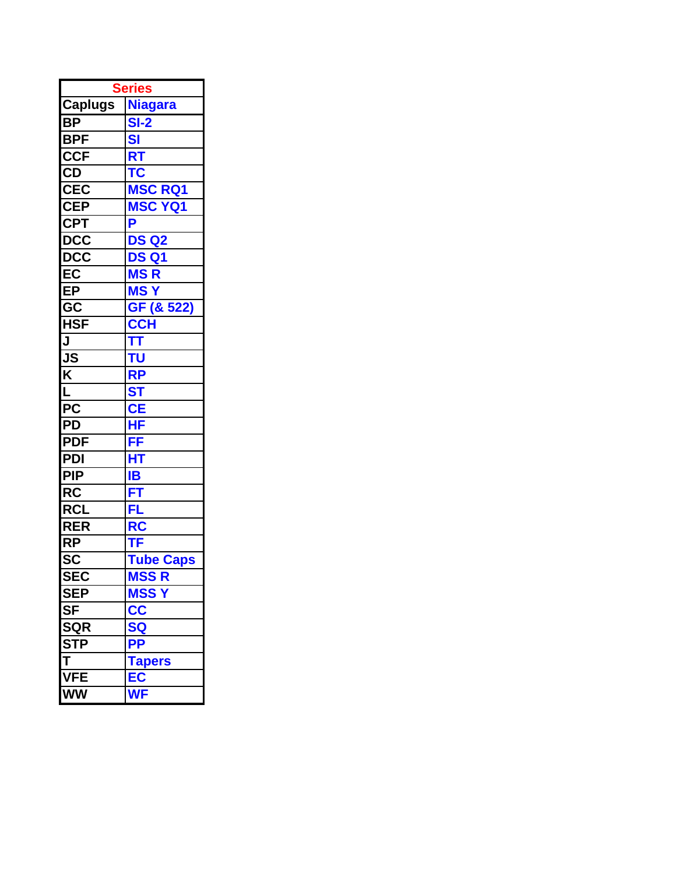| <b>Series</b>             |                                                   |  |
|---------------------------|---------------------------------------------------|--|
| <b>Caplugs</b>            | <b>Niagara</b>                                    |  |
| <b>BP</b>                 | $SI-2$                                            |  |
| <b>BPF</b>                | <b>SI</b>                                         |  |
| <b>CCF</b>                | RT                                                |  |
| CD                        | <b>TC</b>                                         |  |
| <b>CEC</b>                | <b>MSC RQ1</b>                                    |  |
| <b>CEP</b>                | <b>MSC YQ1</b>                                    |  |
| <b>CPT</b>                | P                                                 |  |
| $\overline{DCC}$          | <b>DS Q2</b>                                      |  |
| <b>DCC</b>                | <b>DS Q1</b>                                      |  |
| EC                        | <b>MSR</b>                                        |  |
| EP                        | <b>MSY</b>                                        |  |
| $\overline{\mathsf{GC}}$  | GF (& 522)                                        |  |
| $\overline{\mathsf{HSF}}$ | <b>CCH</b><br>TT<br>==                            |  |
| J                         |                                                   |  |
| JS                        | TU                                                |  |
| $\overline{\mathsf{K}}$   | <b>RP</b>                                         |  |
| L                         | <b>ST</b>                                         |  |
| $\overline{PC}$           | <b>CE</b>                                         |  |
| PD                        | HF                                                |  |
| <b>PDF</b>                | FF                                                |  |
| PDI                       | $\overline{\mathsf{HT}}$                          |  |
| <b>PIP</b>                | IB                                                |  |
| <b>RC</b>                 | FT                                                |  |
| <b>RCL</b>                | FL                                                |  |
| <b>RER</b>                | RC                                                |  |
| <b>RP</b>                 | TF                                                |  |
| $\overline{\text{sc}}$    | <b>Tube Caps</b>                                  |  |
| <b>SE</b><br>EC           | <b>MSS R</b>                                      |  |
| <b>SEP</b>                | <b>MSSY</b>                                       |  |
| <b>SF</b>                 | cc                                                |  |
| <b>SQR</b>                | <b>SQ</b>                                         |  |
| <b>STP</b>                | $\frac{\overrightarrow{PP}}{\overrightarrow{PP}}$ |  |
| $\overline{\mathsf{T}}$   | <b>Tapers</b>                                     |  |
| <b>VFE</b>                | $E\overline{C}$                                   |  |
| <b>WW</b>                 | <b>WF</b>                                         |  |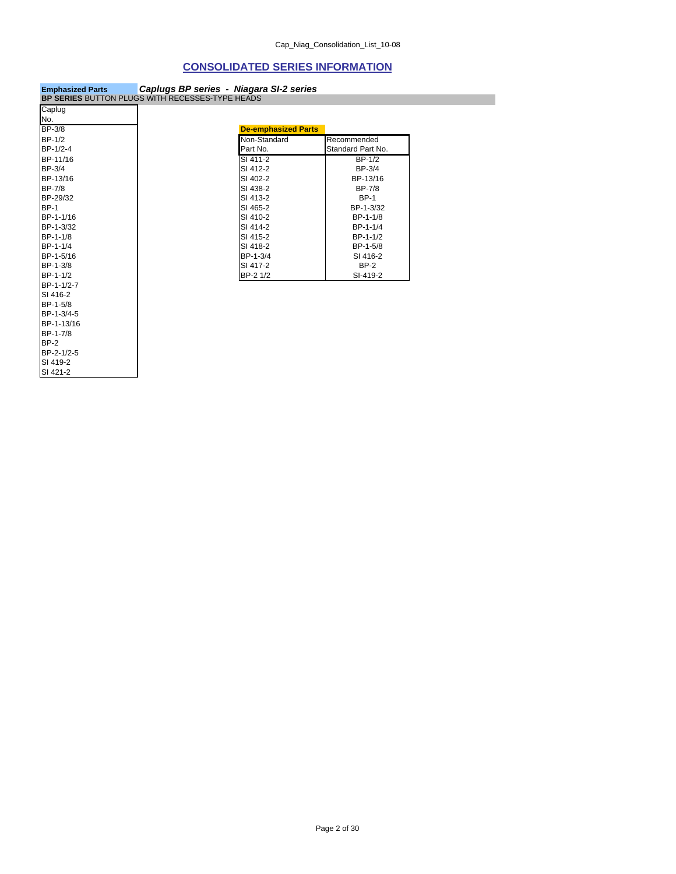### **CONSOLIDATED SERIES INFORMATION**

| <b>Emphasized Parts</b>                                | Caplugs BP series - Niagara SI-2 series |  |
|--------------------------------------------------------|-----------------------------------------|--|
| <b>BP SERIES BUTTON PLUGS WITH RECESSES-TYPE HEADS</b> |                                         |  |

BP-2 BP-2-1/2-5 SI 419-2 SI 421-2

| Caplug      |                            |                   |
|-------------|----------------------------|-------------------|
| No.         |                            |                   |
| BP-3/8      | <b>De-emphasized Parts</b> |                   |
| BP-1/2      | Non-Standard               | Recommended       |
| BP-1/2-4    | Part No.                   | Standard Part No. |
| BP-11/16    | SI 411-2                   | $BP-1/2$          |
| BP-3/4      | SI 412-2                   | BP-3/4            |
| BP-13/16    | SI 402-2                   | BP-13/16          |
| BP-7/8      | SI 438-2                   | <b>BP-7/8</b>     |
| BP-29/32    | SI 413-2                   | <b>BP-1</b>       |
| <b>BP-1</b> | SI 465-2                   | BP-1-3/32         |
| BP-1-1/16   | SI 410-2                   | BP-1-1/8          |
| BP-1-3/32   | SI 414-2                   | BP-1-1/4          |
| BP-1-1/8    | SI 415-2                   | BP-1-1/2          |
| BP-1-1/4    | SI 418-2                   | BP-1-5/8          |
| BP-1-5/16   | BP-1-3/4                   | SI 416-2          |
| BP-1-3/8    | SI 417-2                   | $BP-2$            |
| BP-1-1/2    | BP-2 1/2                   | SI-419-2          |
| BP-1-1/2-7  |                            |                   |
| SI 416-2    |                            |                   |
| BP-1-5/8    |                            |                   |
| BP-1-3/4-5  |                            |                   |
| BP-1-13/16  |                            |                   |
| BP-1-7/8    |                            |                   |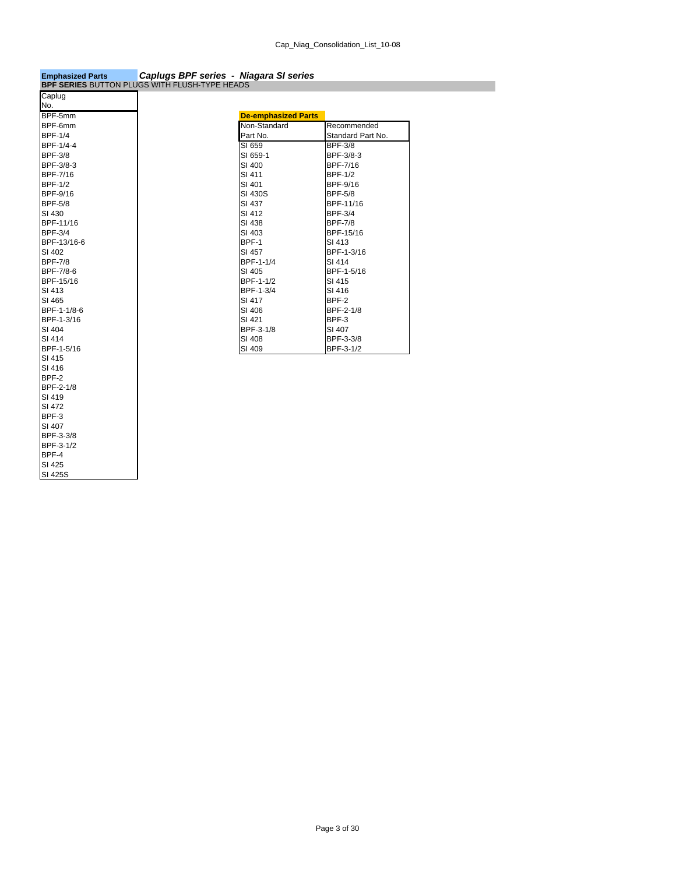### **Emphasized Parts** *Caplugs BPF series - Niagara SI series* **BPF SERIES** BUTTON PLUGS WITH FLUSH-TYPE HEADS

| Caplug          |
|-----------------|
| No.             |
| BPF-5mm         |
| BPF-6mm         |
| <b>BPF-1/4</b>  |
| BPF-1/4-4       |
| <b>BPF-3/8</b>  |
| BPF-3/8-3       |
| <b>BPF-7/16</b> |
| <b>BPF-1/2</b>  |
| BPF-9/16        |
| <b>BPF-5/8</b>  |
| SI 430          |
| BPF-11/16       |
| <b>BPF-3/4</b>  |
| BPF-13/16-6     |
| SI 402          |
| <b>BPF-7/8</b>  |
| BPF-7/8-6       |
| BPF-15/16       |
| SI 413          |
| SI 465          |
| BPF-1-1/8-6     |
| BPF-1-3/16      |
| SI 404          |
| SI 414          |
| BPF-1-5/16      |
| SI 415          |
| SI 416          |
| BPF-2           |
| BPF-2-1/8       |
| SI 419          |
| SI 472          |
| BPF-3           |
| SI 407          |
| BPF-3-3/8       |
| BPF-3-1/2       |
| BPF-4           |
| SI 425          |
| SI 425S         |

| <b>De-emphasized Parts</b> |                   |
|----------------------------|-------------------|
| Non-Standard               | Recommended       |
| Part No.                   | Standard Part No. |
| SI 659                     | <b>BPF-3/8</b>    |
| SI 659-1                   | BPF-3/8-3         |
| SI 400                     | BPF-7/16          |
| SI 411                     | <b>BPF-1/2</b>    |
| SI 401                     | BPF-9/16          |
| SI 430S                    | <b>BPF-5/8</b>    |
| SI 437                     | BPF-11/16         |
| SI 412                     | <b>BPF-3/4</b>    |
| SI 438                     | <b>BPF-7/8</b>    |
| SI 403                     | BPF-15/16         |
| BPF-1                      | SI 413            |
| SI 457                     | BPF-1-3/16        |
| BPF-1-1/4                  | SI 414            |
| SI 405                     | BPF-1-5/16        |
| BPF-1-1/2                  | SI 415            |
| BPF-1-3/4                  | SI 416            |
| SI 417                     | BPF-2             |
| SI 406                     | BPF-2-1/8         |
| SI 421                     | BPF-3             |
| BPF-3-1/8                  | SI 407            |
| SI 408                     | BPF-3-3/8         |
| SI 409                     | BPF-3-1/2         |
|                            |                   |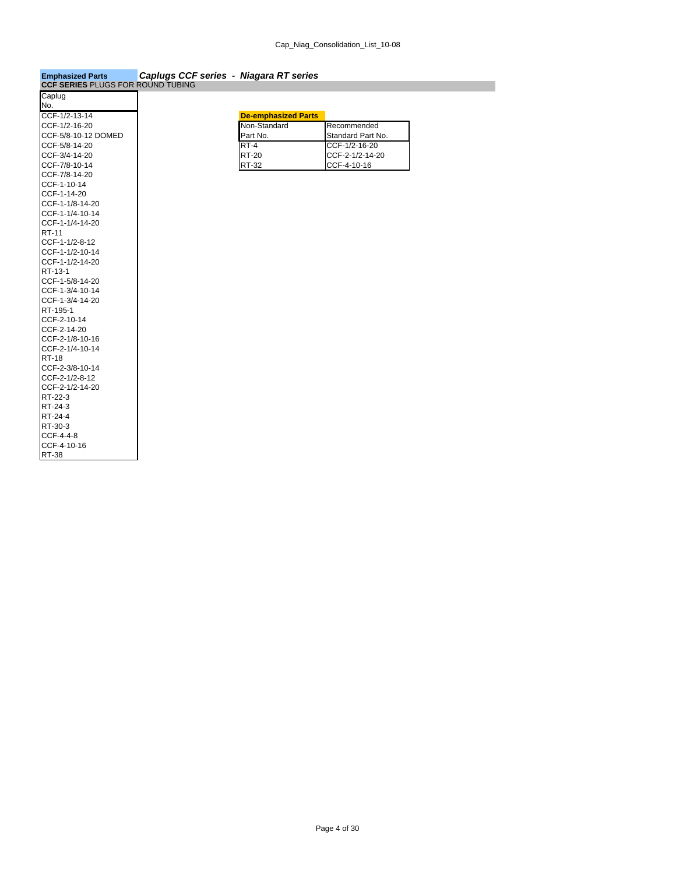| <b>Emphasized Parts</b>                  | Caplugs CCF series - Niagara RT series |  |
|------------------------------------------|----------------------------------------|--|
| <b>CCF SERIES PLUGS FOR ROUND TUBING</b> |                                        |  |

| Caplug                     |                            |
|----------------------------|----------------------------|
| No.                        |                            |
| CCF-1/2-13-14              | <b>De-emphasized Parts</b> |
| CCF-1/2-16-20              | Non-Standard               |
| CCF-5/8-10-12 DOMED        | Part No.                   |
| CCF-5/8-14-20              | $RT-4$                     |
| CCF-3/4-14-20              | <b>RT-20</b>               |
| CCF-7/8-10-14              | RT-32                      |
| CCF-7/8-14-20              |                            |
| CCF-1-10-14                |                            |
| CCF-1-14-20                |                            |
| CCF-1-1/8-14-20            |                            |
| CCF-1-1/4-10-14            |                            |
| CCF-1-1/4-14-20            |                            |
| <b>RT-11</b>               |                            |
| CCF-1-1/2-8-12             |                            |
| CCF-1-1/2-10-14            |                            |
| CCF-1-1/2-14-20            |                            |
| RT-13-1                    |                            |
| CCF-1-5/8-14-20            |                            |
| CCF-1-3/4-10-14            |                            |
| CCF-1-3/4-14-20            |                            |
| RT-195-1                   |                            |
| CCF-2-10-14<br>CCF-2-14-20 |                            |
| CCF-2-1/8-10-16            |                            |
| CCF-2-1/4-10-14            |                            |
| <b>RT-18</b>               |                            |
| CCF-2-3/8-10-14            |                            |
| CCF-2-1/2-8-12             |                            |
| CCF-2-1/2-14-20            |                            |
| RT-22-3                    |                            |
| RT-24-3                    |                            |
| RT-24-4                    |                            |
| RT-30-3                    |                            |
| CCF-4-4-8                  |                            |
| CCF-4-10-16                |                            |
| <b>RT-38</b>               |                            |
|                            |                            |

| CCF-1/2-13-14       | <b>De-emphasized Parts</b> |                    |
|---------------------|----------------------------|--------------------|
| CCF-1/2-16-20       | Non-Standard               | Recommended        |
| CCF-5/8-10-12 DOMED | Part No.                   | Standard Part No.  |
| CCF-5/8-14-20       | <b>RT-4</b>                | $CCF-1/2-16-20$    |
| CCF-3/4-14-20       | <b>RT-20</b>               | $ICCF-2-1/2-14-20$ |
| CCF-7/8-10-14       | <b>RT-32</b>               | CCF-4-10-16        |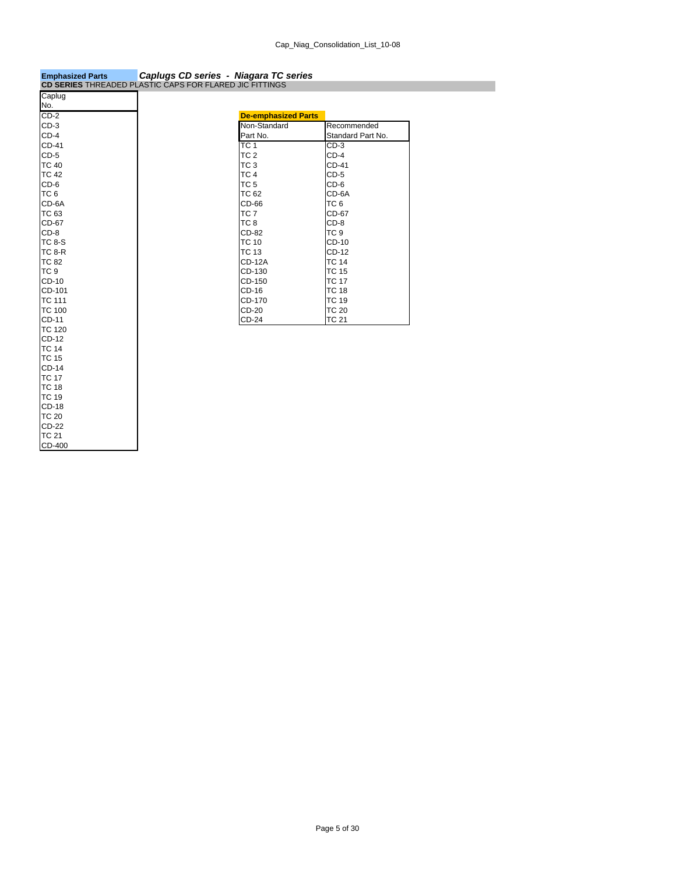| <b>Emphasized Parts</b>                                 | Capiugs CD series - Niagara TC series |                   |  |
|---------------------------------------------------------|---------------------------------------|-------------------|--|
| CD SERIES THREADED PLASTIC CAPS FOR FLARED JIC FITTINGS |                                       |                   |  |
| Caplug                                                  |                                       |                   |  |
| No.                                                     |                                       |                   |  |
| $CD-2$                                                  | <b>De-emphasized Parts</b>            |                   |  |
| $CD-3$                                                  | Non-Standard                          | Recommended       |  |
| $CD-4$                                                  | Part No.                              | Standard Part No. |  |
| CD-41                                                   | TC <sub>1</sub>                       | $CD-3$            |  |
| $CD-5$                                                  | TC <sub>2</sub>                       | $CD-4$            |  |
| <b>TC 40</b>                                            | TC <sub>3</sub>                       | <b>CD-41</b>      |  |
| <b>TC 42</b>                                            | TC <sub>4</sub>                       | $CD-5$            |  |
| $CD-6$                                                  | TC <sub>5</sub>                       | $CD-6$            |  |
| TC <sub>6</sub>                                         | <b>TC 62</b>                          | CD-6A             |  |
| CD-6A                                                   | CD-66                                 | TC <sub>6</sub>   |  |
| TC 63                                                   | TC <sub>7</sub>                       | CD-67             |  |
| CD-67                                                   | TC <sub>8</sub>                       | $CD-8$            |  |
| $CD-8$                                                  | CD-82                                 | TC <sub>9</sub>   |  |
| <b>TC 8-S</b>                                           | <b>TC 10</b>                          | CD-10             |  |
| <b>TC 8-R</b>                                           | <b>TC 13</b>                          | CD-12             |  |
| <b>TC 82</b>                                            | <b>CD-12A</b>                         | <b>TC 14</b>      |  |
| TC <sub>9</sub>                                         | CD-130                                | <b>TC 15</b>      |  |
| CD-10                                                   | CD-150                                | <b>TC 17</b>      |  |
| CD-101                                                  | CD-16                                 | <b>TC 18</b>      |  |
| <b>TC 111</b>                                           | CD-170                                | <b>TC 19</b>      |  |
| <b>TC 100</b>                                           | CD-20                                 | <b>TC 20</b>      |  |
| CD-11                                                   | $CD-24$                               | <b>TC 21</b>      |  |
| <b>TC 120</b>                                           |                                       |                   |  |
| CD-12                                                   |                                       |                   |  |
| <b>TC 14</b>                                            |                                       |                   |  |
| <b>TC 15</b>                                            |                                       |                   |  |
| CD-14                                                   |                                       |                   |  |
| <b>TC 17</b>                                            |                                       |                   |  |
| <b>TC 18</b>                                            |                                       |                   |  |
| <b>TC 19</b>                                            |                                       |                   |  |
| CD-18                                                   |                                       |                   |  |
| <b>TC 20</b>                                            |                                       |                   |  |
| CD-22                                                   |                                       |                   |  |
| <b>TC 21</b>                                            |                                       |                   |  |
| CD-400                                                  |                                       |                   |  |

### **Emphasized Parts** *Caplugs CD series - Niagara TC series*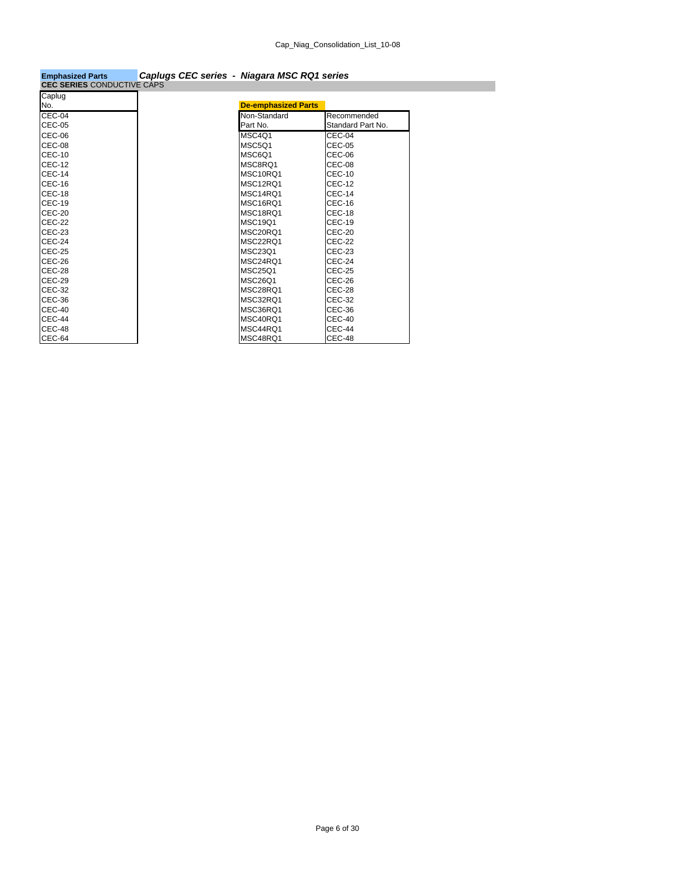| <b>Emphasized Parts</b>           | Caplugs CEC series - Niagara MSC RQ1 series |
|-----------------------------------|---------------------------------------------|
| <b>CEC SERIES CONDUCTIVE CAPS</b> |                                             |

| <b>De-emphasized Parts</b> |                   |
|----------------------------|-------------------|
| Non-Standard               | Recommended       |
| Part No.                   | Standard Part No. |
| MSC4Q1                     | CEC-04            |
| <b>MSC501</b>              | CEC-05            |
| MSC6O1                     | CEC-06            |
| MSC8RO1                    | <b>CEC-08</b>     |
| MSC10RQ1                   | <b>CEC-10</b>     |
| MSC12RQ1                   | <b>CEC-12</b>     |
| MSC14RO1                   | <b>CEC-14</b>     |
| MSC16RO1                   | CEC-16            |
| MSC18RQ1                   | CEC-18            |
| <b>MSC19O1</b>             | <b>CEC-19</b>     |
| MSC20RQ1                   | <b>CEC-20</b>     |
| MSC22RQ1                   | <b>CEC-22</b>     |
| <b>MSC23O1</b>             | <b>CEC-23</b>     |
| MSC24RO1                   | CEC-24            |
| <b>MSC25O1</b>             | CEC-25            |
| <b>MSC26O1</b>             | CEC-26            |
| MSC28RO1                   | <b>CEC-28</b>     |
| MSC32RO1                   | <b>CEC-32</b>     |
| MSC36RQ1                   | CEC-36            |
| MSC40RQ1                   | <b>CEC-40</b>     |
| MSC44RO1                   | CEC-44            |
| MSC48RQ1                   | CEC-48            |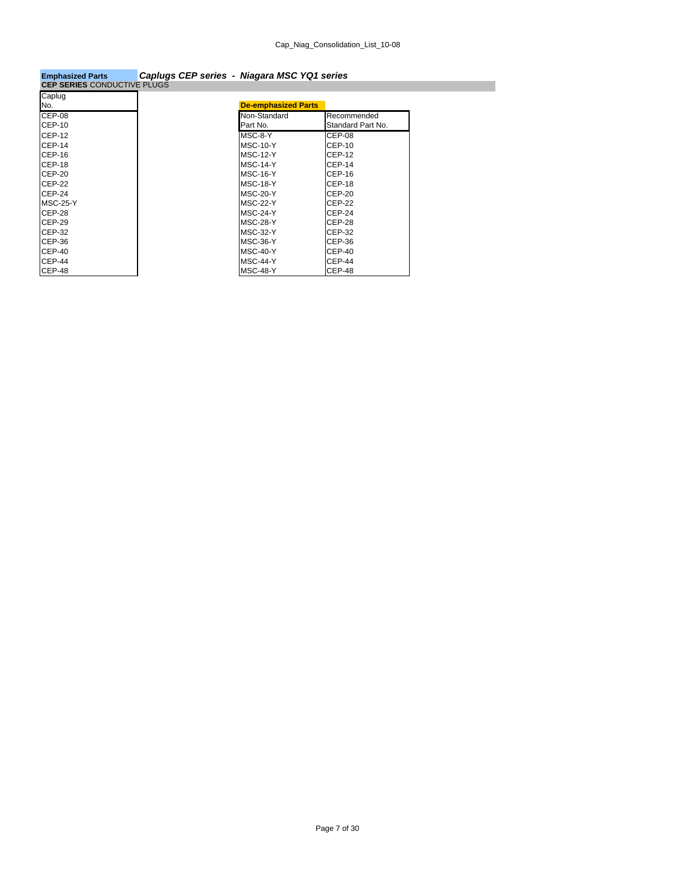### **Emphasized Parts** *Caplugs CEP series - Niagara MSC YQ1 series*

| <b>CEP SERIES CONDUCTIVE PLUGS</b> |                            |                   |
|------------------------------------|----------------------------|-------------------|
| Caplug                             |                            |                   |
| No.                                | <b>De-emphasized Parts</b> |                   |
| CEP-08                             | Non-Standard               | Recommended       |
| <b>CEP-10</b>                      | Part No.                   | Standard Part No. |
| <b>CEP-12</b>                      | MSC-8-Y                    | CEP-08            |
| <b>CEP-14</b>                      | <b>MSC-10-Y</b>            | CEP-10            |
| CEP-16                             | <b>MSC-12-Y</b>            | <b>CEP-12</b>     |
| <b>CEP-18</b>                      | <b>MSC-14-Y</b>            | <b>CEP-14</b>     |
| $CEP-20$                           | <b>MSC-16-Y</b>            | CEP-16            |
| <b>CEP-22</b>                      | MSC-18-Y                   | <b>CEP-18</b>     |
| $CEP-24$                           | MSC-20-Y                   | $CEP-20$          |
| <b>MSC-25-Y</b>                    | <b>MSC-22-Y</b>            | <b>CEP-22</b>     |
| CEP-28                             | <b>MSC-24-Y</b>            | <b>CEP-24</b>     |
| <b>CEP-29</b>                      | MSC-28-Y                   | <b>CEP-28</b>     |
| CEP-32                             | <b>MSC-32-Y</b>            | CEP-32            |
| CEP-36                             | MSC-36-Y                   | CEP-36            |
| $CEP-40$                           | <b>MSC-40-Y</b>            | $CEP-40$          |
| <b>CEP-44</b>                      | <b>MSC-44-Y</b>            | <b>CEP-44</b>     |
| CEP-48                             | <b>MSC-48-Y</b>            | CEP-48            |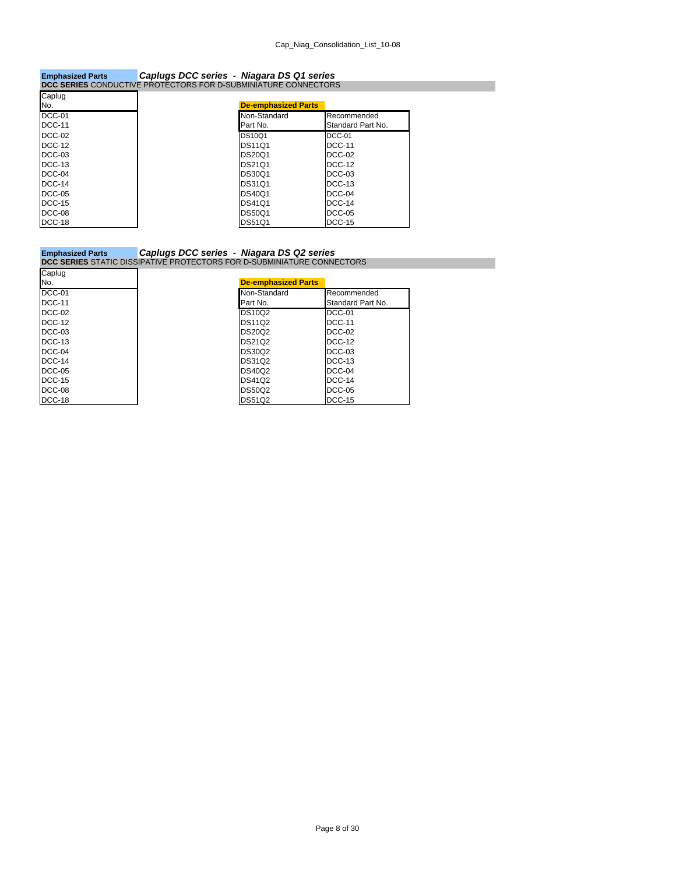### **Emphasized Parts** *Caplugs DCC series - Niagara DS Q1 series* **DCC SERIES** CONDUCTIVE PROTECTORS FOR D-SUBMINIATURE CONNECTORS

| Caplug        |                            |                   |
|---------------|----------------------------|-------------------|
|               | <b>De-emphasized Parts</b> |                   |
| DCC-01        | Non-Standard               | Recommended       |
| <b>DCC-11</b> | Part No.                   | Standard Part No. |
|               | <b>DS10Q1</b>              | DCC-01            |
|               | <b>DS11Q1</b>              | <b>DCC-11</b>     |
|               | <b>DS20Q1</b>              | DCC-02            |
|               | <b>DS21Q1</b>              | <b>DCC-12</b>     |
|               | <b>DS30Q1</b>              | $DCC-03$          |
|               | <b>DS31Q1</b>              | DCC-13            |
|               | <b>DS40Q1</b>              | DCC-04            |
|               | <b>DS4101</b>              | <b>DCC-14</b>     |
|               | <b>DS50Q1</b>              | <b>DCC-05</b>     |
|               | <b>DS51Q1</b>              | <b>DCC-15</b>     |

### **Emphasized Parts** *Caplugs DCC series - Niagara DS Q2 series* **DCC SERIES** STATIC DISSIPATIVE PROTECTORS FOR D-SUBMINIATURE CONNECTORS

| Caplug                  |                            |                                  |
|-------------------------|----------------------------|----------------------------------|
|                         | <b>De-emphasized Parts</b> |                                  |
| DCC-01<br><b>DCC-11</b> | Non-Standard<br>Part No.   | Recommended<br>Standard Part No. |
| <b>DCC-02</b>           | <b>DS10Q2</b>              | DCC-01                           |
| <b>DCC-12</b>           | <b>DS11Q2</b>              | <b>DCC-11</b>                    |
| $DCC-03$                | <b>DS20Q2</b>              | DCC-02                           |
| DCC-13                  | DS21Q2                     | <b>DCC-12</b>                    |
| DCC-04                  | <b>DS30Q2</b>              | DCC-03                           |
| DCC-14                  | <b>DS31Q2</b>              | DCC-13                           |
| <b>DCC-05</b>           | <b>DS40Q2</b>              | $DCC-04$                         |
| <b>DCC-15</b>           | <b>DS41Q2</b>              | <b>DCC-14</b>                    |
| DCC-08                  | <b>DS50Q2</b>              | <b>DCC-05</b>                    |
| DCC-18                  | <b>DS51Q2</b>              | <b>DCC-15</b>                    |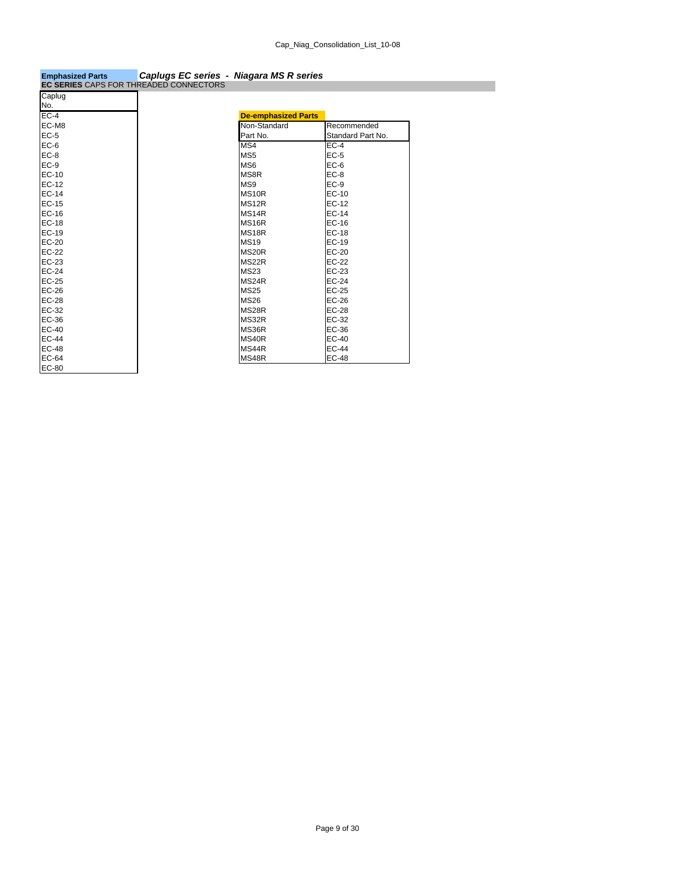| <b>Emphasized Parts</b>                | Caplugs EC series - Niagara MS R series |  |
|----------------------------------------|-----------------------------------------|--|
| EC SEBIES CADS EOR THREADED CONNECTORS |                                         |  |

| <b>EC SERIES CAPS FOR THREADED CONNECTORS</b> |                            |                   |
|-----------------------------------------------|----------------------------|-------------------|
| Caplug                                        |                            |                   |
| No.                                           |                            |                   |
| $EC-4$                                        | <b>De-emphasized Parts</b> |                   |
| EC-M8                                         | Non-Standard               | Recommended       |
| $EC-5$                                        | Part No.                   | Standard Part No. |
| $EC-6$                                        | MS4                        | $EC-4$            |
| $EC-8$                                        | MS <sub>5</sub>            | $EC-5$            |
| $EC-9$                                        | MS <sub>6</sub>            | $EC-6$            |
| $EC-10$                                       | MS8R                       | $EC-8$            |
| EC-12                                         | MS9                        | $EC-9$            |
| EC-14                                         | MS <sub>10R</sub>          | <b>EC-10</b>      |
| EC-15                                         | MS <sub>12R</sub>          | EC-12             |
| $EC-16$                                       | MS <sub>14R</sub>          | $EC-14$           |
| EC-18                                         | MS <sub>16R</sub>          | <b>EC-16</b>      |
| EC-19                                         | MS18R                      | <b>EC-18</b>      |
| $EC-20$                                       | <b>MS19</b>                | <b>EC-19</b>      |
|                                               | MS20R                      | $EC-20$           |
|                                               | MS22R                      | <b>EC-22</b>      |
| EC-24                                         | <b>MS23</b>                | EC-23             |
| EC-25                                         | MS24R                      | EC-24             |
| EC-26                                         | <b>MS25</b>                | <b>EC-25</b>      |
| <b>EC-28</b>                                  | <b>MS26</b>                | <b>EC-26</b>      |
| EC-32                                         | MS28R                      | <b>EC-28</b>      |
| EC-36                                         | MS32R                      | EC-32             |
| $EC-40$                                       | MS36R                      | EC-36             |
| <b>EC-44</b>                                  | MS40R                      | <b>EC-40</b>      |
| <b>EC-48</b>                                  | MS44R                      | <b>EC-44</b>      |
| EC-64                                         | MS48R                      | <b>EC-48</b>      |
| EC-80                                         |                            |                   |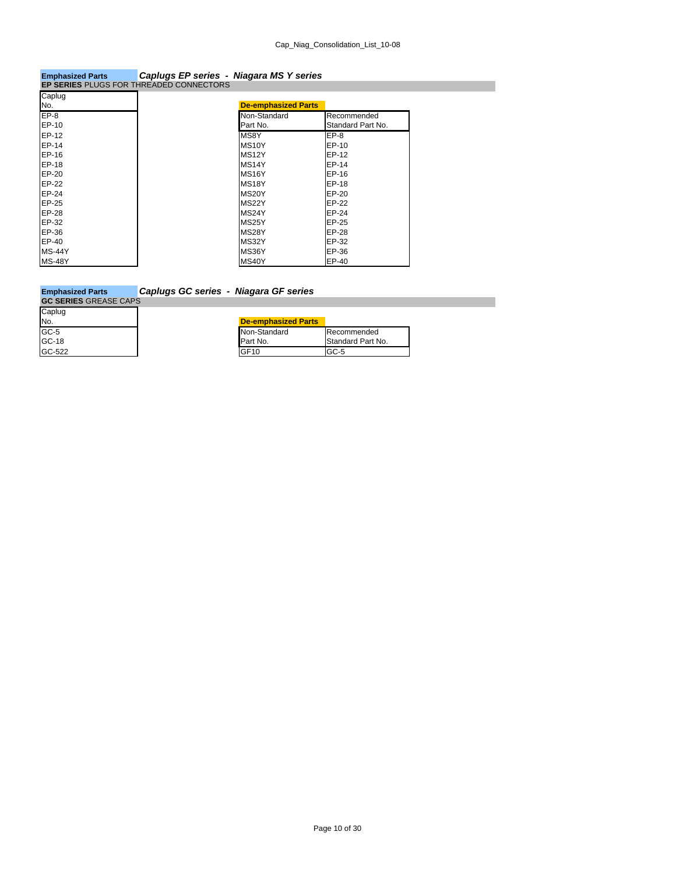# **Emphasized Parts** *Caplugs EP series - Niagara MS Y series* **EP SERIES** PLUGS FOR THREADED CONNECTORS

| <b>De-emphasized Parts</b> |                   |
|----------------------------|-------------------|
| Non-Standard               | Recommended       |
| Part No.                   | Standard Part No. |
| MS8Y                       | $EP-8$            |
| MS <sub>10</sub> Y         | EP-10             |
| MS <sub>12</sub> Y         | EP-12             |
| MS <sub>14</sub> Y         | EP-14             |
| MS <sub>16</sub> Y         | EP-16             |
| MS18Y                      | EP-18             |
| MS20Y                      | EP-20             |
| MS22Y                      | EP-22             |
| MS24Y                      | EP-24             |
| MS25Y                      | EP-25             |
| MS28Y                      | EP-28             |
| MS32Y                      | EP-32             |
| MS36Y                      | EP-36             |
| MS40Y                      | EP-40             |

### **Emphasized Parts** *Caplugs GC series - Niagara GF series*

| <b>GC SERIES GREASE CAPS</b> |                            |                   |  |  |
|------------------------------|----------------------------|-------------------|--|--|
| Caplug                       |                            |                   |  |  |
| No.                          | <b>De-emphasized Parts</b> |                   |  |  |
| GC-5<br>GC-18                | Non-Standard               | Recommended       |  |  |
|                              | Part No.                   | Standard Part No. |  |  |
| <b>GC-522</b>                | GF10                       | $GC-5$            |  |  |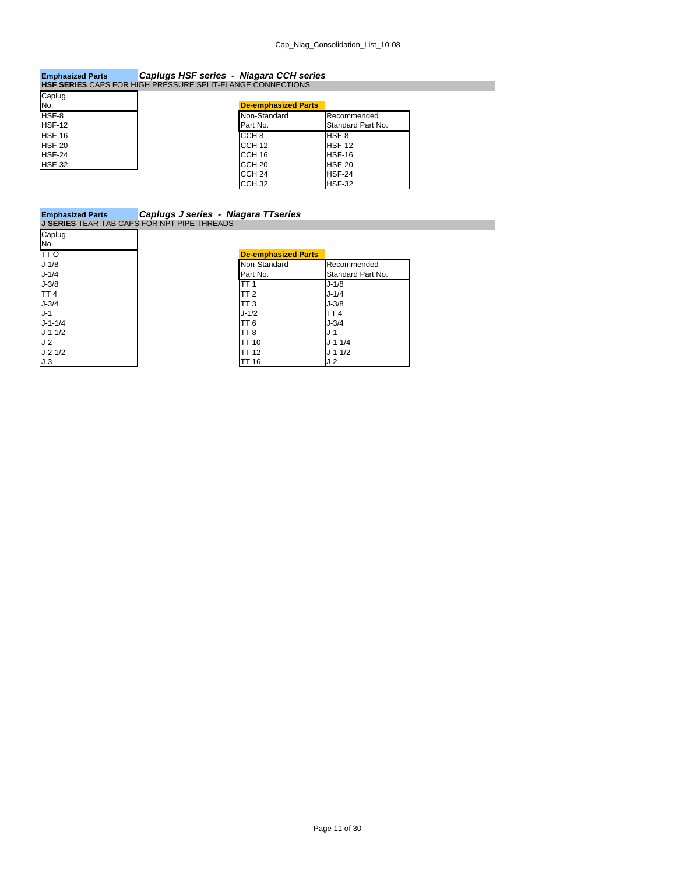## **Emphasized Parts** *Caplugs HSF series - Niagara CCH series* **HSF SERIES** CAPS FOR HIGH PRESSURE SPLIT-FLANGE CONNECTIONS

| Caplug |                            |                   |
|--------|----------------------------|-------------------|
| No.    | <b>De-emphasized Parts</b> |                   |
| HSF-8  | Non-Standard               | Recommended       |
| HSF-12 | Part No.                   | Standard Part No. |
| HSF-16 | CCH <sub>8</sub>           | HSF-8             |
| HSF-20 | CCH <sub>12</sub>          | HSF-12            |
| HSF-24 | CCH <sub>16</sub>          | HSF-16            |
| HSF-32 | CCH <sub>20</sub>          | HSF-20            |
|        | CCH <sub>24</sub>          | HSF-24            |
|        | CCH <sub>32</sub>          | HSF-32            |

| <b>Emphasized Parts</b>                            | Caplugs J series - Niagara TT series |
|----------------------------------------------------|--------------------------------------|
| <b>J SERIES</b> TEAR-TAB CAPS FOR NPT PIPE THREADS |                                      |

| Caplug          |                            |                   |
|-----------------|----------------------------|-------------------|
| No.             |                            |                   |
| <b>TTO</b>      | <b>De-emphasized Parts</b> |                   |
| $J-1/8$         | Non-Standard               | Recommended       |
| $J - 1/4$       | Part No.                   | Standard Part No. |
| $J-3/8$         | TT <sub>1</sub>            | $J - 1/8$         |
| TT <sub>4</sub> | TT <sub>2</sub>            | $J - 1/4$         |
| $J-3/4$         | TT <sub>3</sub>            | $J-3/8$           |
| $J-1$           | $J - 1/2$                  | TT <sub>4</sub>   |
| $J - 1 - 1/4$   | TT 6                       | $J - 3/4$         |
| $J - 1 - 1/2$   | TT <sub>8</sub>            | $J-1$             |
| $J-2$           | <b>TT 10</b>               | $J - 1 - 1/4$     |
| $J - 2 - 1/2$   | <b>TT 12</b>               | $J - 1 - 1/2$     |
| $J-3$           | <b>TT 16</b>               | J-2               |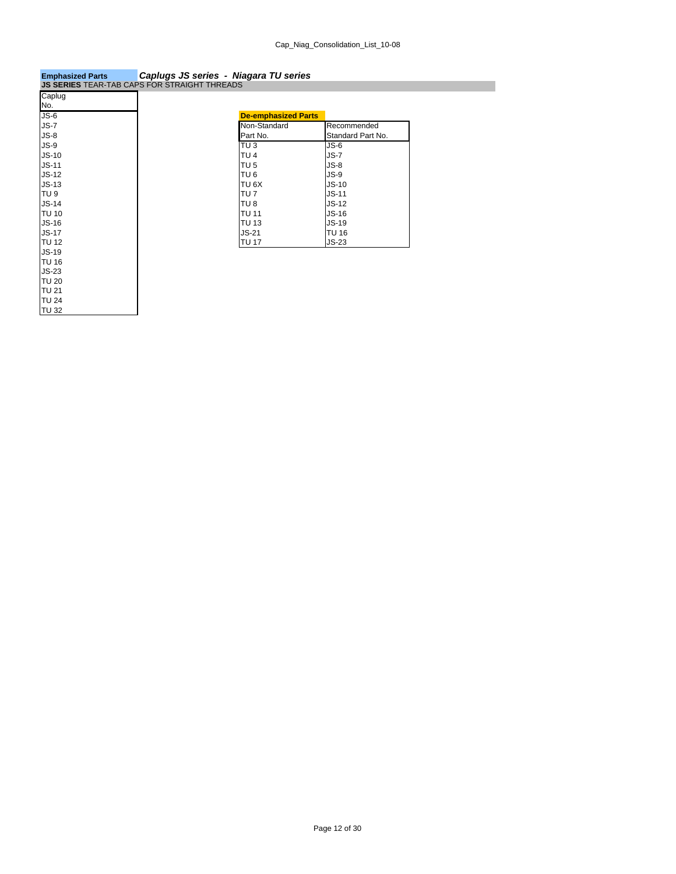| <b>Emphasized Parts</b>                             | Caplugs JS series - Niagara TU series |  |
|-----------------------------------------------------|---------------------------------------|--|
| <b>JS SERIES TEAR-TAB CAPS FOR STRAIGHT THREADS</b> |                                       |  |

|              | <b>JS SERIES</b> TEAR-TAB CAPS FOR STRAIGHT THREADS |
|--------------|-----------------------------------------------------|
| Caplug       |                                                     |
| No.          |                                                     |
| $JS-6$       | <b>De-emphasized Parts</b>                          |
| $JS-7$       | Non-Standard                                        |
| $JS-8$       | Part No.                                            |
| $JS-9$       | $TU$ <sub>3</sub>                                   |
| $JS-10$      | TU <sub>4</sub>                                     |
| $JS-11$      | TU <sub>5</sub>                                     |
| $JS-12$      | TU <sub>6</sub>                                     |
| $JS-13$      | TU <sub>6</sub> X                                   |
| <b>TU9</b>   | TU <sub>7</sub>                                     |
| $JS-14$      | TU <sub>8</sub>                                     |
| <b>TU 10</b> | <b>TU 11</b>                                        |
| $JS-16$      | <b>TU 13</b>                                        |
| $JS-17$      | $JS-21$                                             |
| <b>TU 12</b> | <b>TU 17</b>                                        |
| <b>JS-19</b> |                                                     |
| TU 16        |                                                     |
| $JS-23$      |                                                     |
| <b>TU 20</b> |                                                     |
| TU 21        |                                                     |
| <b>TU 24</b> |                                                     |
| TU 32        |                                                     |

| <b>De-emphasized Parts</b> |                   |
|----------------------------|-------------------|
| Non-Standard               | Recommended       |
| Part No.                   | Standard Part No. |
| TU <sub>3</sub>            | $JS-6$            |
| TU <sub>4</sub>            | $JS-7$            |
| TU <sub>5</sub>            | $JS-8$            |
| TU <sub>6</sub>            | $JS-9$            |
| TU 6X                      | $JS-10$           |
| TU <sub>7</sub>            | $JS-11$           |
| TU <sub>8</sub>            | $JS-12$           |
| <b>TU 11</b>               | $JS-16$           |
| <b>TU 13</b>               | $JS-19$           |
| $JS-21$                    | TU 16             |
| <b>TU 17</b>               | $JS-23$           |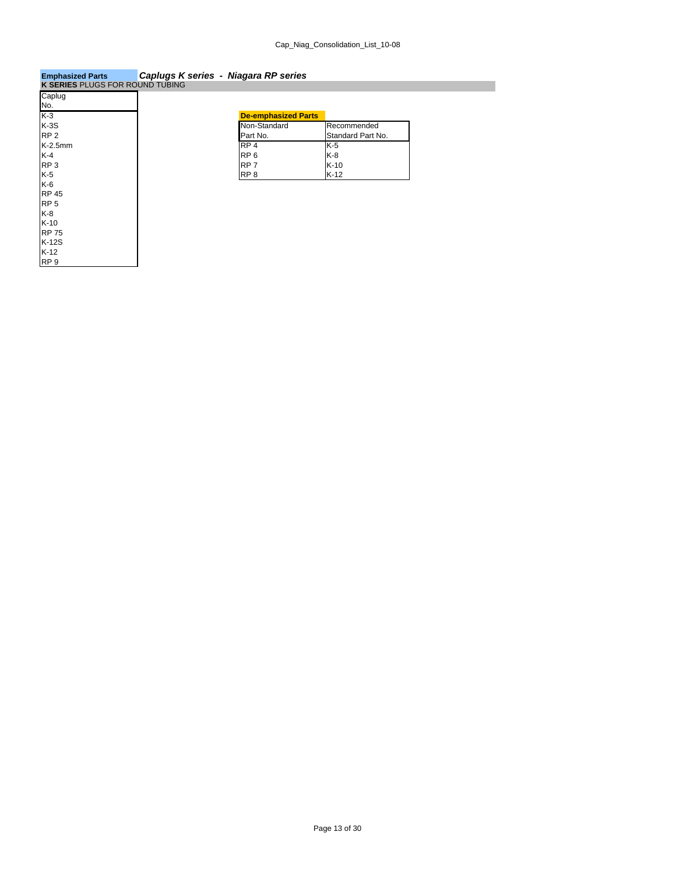| Emphasized Parts                | Capiugs K series - Niagara RP series |                   |
|---------------------------------|--------------------------------------|-------------------|
| K SERIES PLUGS FOR ROUND TUBING |                                      |                   |
| Caplug                          |                                      |                   |
| No.                             |                                      |                   |
| $K-3$                           | <b>De-emphasized Parts</b>           |                   |
| $K-3S$                          | Non-Standard                         | Recommended       |
| RP <sub>2</sub>                 | Part No.                             | Standard Part No. |
| $K-2.5$ mm                      | RP <sub>4</sub>                      | K-5               |
| K-4                             | RP <sub>6</sub>                      | K-8               |
| RP <sub>3</sub>                 | RP <sub>7</sub>                      | $K-10$            |
| K-5                             | RP <sub>8</sub>                      | $K-12$            |
| K-6                             |                                      |                   |
| <b>RP 45</b>                    |                                      |                   |
| RP <sub>5</sub>                 |                                      |                   |
| K-8                             |                                      |                   |
| $K-10$                          |                                      |                   |
| <b>RP 75</b>                    |                                      |                   |
| $K-12S$                         |                                      |                   |
| $K-12$                          |                                      |                   |
| RP <sub>9</sub>                 |                                      |                   |

### **Emphasized Parts** *Caplugs K series - Niagara RP series*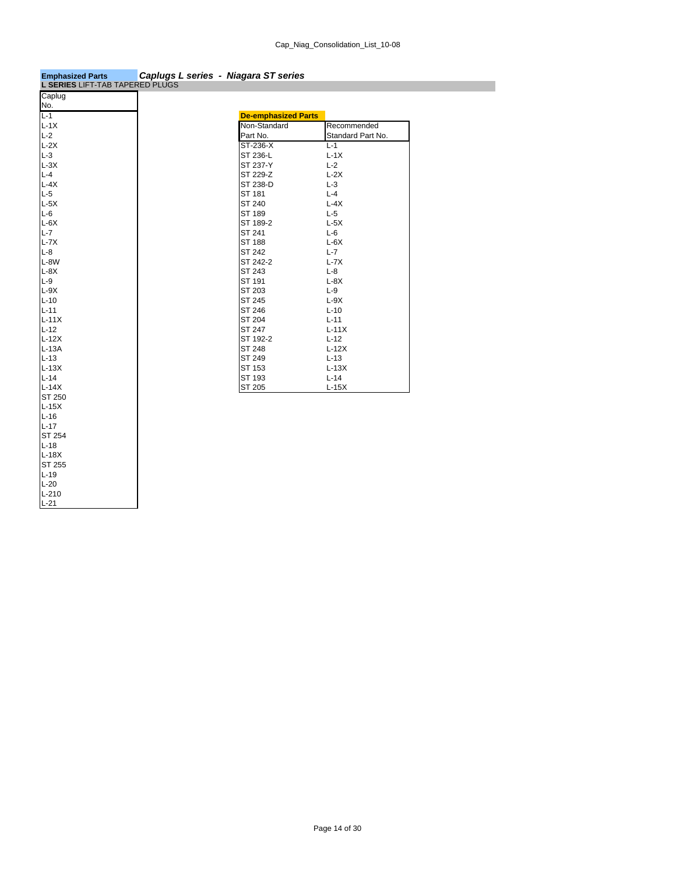| L SERIES LIFT-TAB TAPERED PLUGS |                            |                   |
|---------------------------------|----------------------------|-------------------|
| Caplug                          |                            |                   |
| No.                             |                            |                   |
| $L-1$                           | <b>De-emphasized Parts</b> |                   |
| $L-1X$                          | Non-Standard               | Recommended       |
| $L-2$                           | Part No.                   | Standard Part No. |
| $L-2X$                          | ST-236-X                   | $L - 1$           |
| $L-3$                           | ST 236-L                   | $L-1X$            |
| $L-3X$                          | ST 237-Y                   | $L-2$             |
| $L - 4$                         | ST 229-Z                   | $L-2X$            |
| $L-4X$                          | ST 238-D                   | $L-3$             |
| $L-5$                           | ST 181                     | $L - 4$           |
| $L-5X$                          | ST 240                     | $L-4X$            |
| $L-6$                           | ST 189                     | $L-5$             |
| $L-6X$                          | ST 189-2                   | $L-5X$            |
| $L - 7$                         | ST 241                     | $L-6$             |
| $L-7X$                          | ST 188                     | $L-6X$            |
| $L - 8$                         | ST 242                     | $L - 7$           |
| L-8W                            | ST 242-2                   | $L-7X$            |
| $L-8X$                          | ST 243                     | $L - 8$           |
| $L-9$                           | ST 191                     | $L-8X$            |
| $L-9X$                          | ST 203                     | $L-9$             |
| $L-10$                          | ST 245                     | $L-9X$            |
| $L-11$                          | ST 246                     | $L-10$            |
| $L-11X$                         | ST 204                     | $L-11$            |
| $L-12$                          | ST 247                     | $L-11X$           |
| $L-12X$                         | ST 192-2                   | $L-12$            |
| $L-13A$                         | ST 248                     | $L-12X$           |
| $L-13$                          | ST 249                     | $L-13$            |
| $L-13X$                         | ST 153                     | $L-13X$           |
| $L-14$                          | ST 193                     | $L-14$            |
| $L-14X$                         | ST 205                     | $L-15X$           |
| ST 250                          |                            |                   |
| $L-15X$                         |                            |                   |
| $L-16$                          |                            |                   |
| $L-17$                          |                            |                   |
| ST 254                          |                            |                   |
| $L-18$                          |                            |                   |
| $L-18X$                         |                            |                   |
| <b>ST 255</b>                   |                            |                   |
| $L-19$                          |                            |                   |
| $L-20$                          |                            |                   |
| $L-210$                         |                            |                   |
| $L-21$                          |                            |                   |

### **Emphasized Parts** *Caplugs L series - Niagara ST series*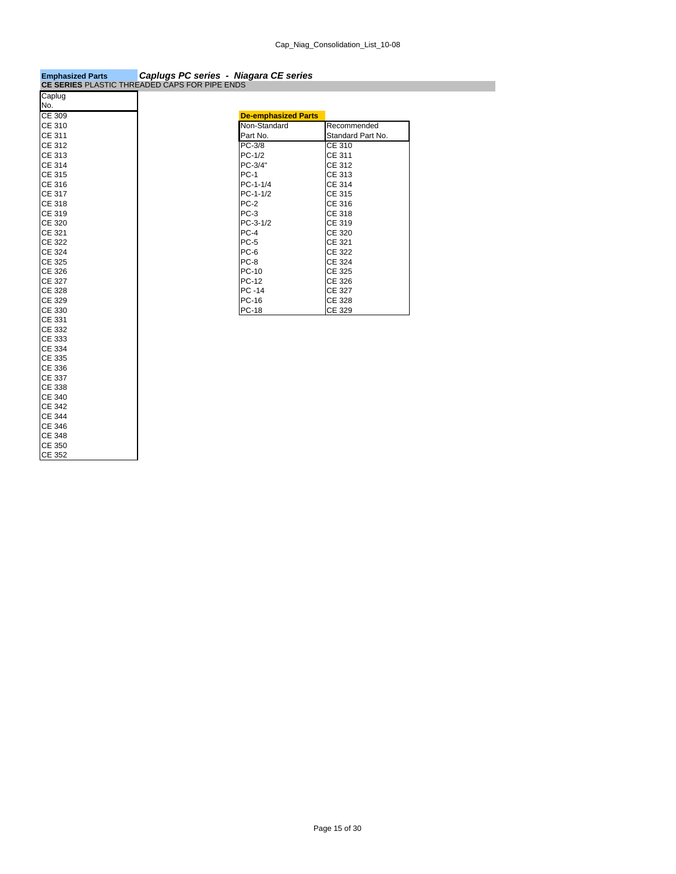| <b>Emphasized Parts</b>                              | Caplugs PC series - Niagara CE series |
|------------------------------------------------------|---------------------------------------|
| <b>CE SERIES PLASTIC THREADED CAPS FOR PIPE ENDS</b> |                                       |

|               | <b>OL OLINILO</b> I LAUTIU THINLADED OAT UT ON TILL LINDU |
|---------------|-----------------------------------------------------------|
| Caplug        |                                                           |
| No.           |                                                           |
| CE 309        | <b>De-emphasized Parts</b>                                |
| CE 310        | Non-Standard                                              |
| CE 311        | Part No.                                                  |
| <b>CE 312</b> | $PC-3/8$                                                  |
| CE 313        | $PC-1/2$                                                  |
| <b>CE 314</b> | PC-3/4"                                                   |
| <b>CE 315</b> | <b>PC-1</b>                                               |
| CE 316        | $PC-1-1/4$                                                |
| CE 317        | $PC-1-1/2$                                                |
| CE 318        | $PC-2$                                                    |
| CE 319        | $PC-3$                                                    |
| CE 320        | $PC-3-1/2$                                                |
| CE 321        | $PC-4$                                                    |
| <b>CE 322</b> | $PC-5$                                                    |
| <b>CE 324</b> | PC-6                                                      |
| <b>CE 325</b> | PC-8                                                      |
| <b>CE 326</b> | PC-10                                                     |
| <b>CE 327</b> | PC-12                                                     |
| CE 328        | PC -14                                                    |
| <b>CE 329</b> | <b>PC-16</b>                                              |
| CE 330        | <b>PC-18</b>                                              |
| CE 331        |                                                           |
| <b>CE 332</b> |                                                           |
| CE 333        |                                                           |
| <b>CE 334</b> |                                                           |
| CE 335        |                                                           |
| CE 336        |                                                           |
| <b>CE 337</b> |                                                           |
| CE 338        |                                                           |
| <b>CE 340</b> |                                                           |
| <b>CE 342</b> |                                                           |
| <b>CE 344</b> |                                                           |
| <b>CE 346</b> |                                                           |
| <b>CE 348</b> |                                                           |
| CE 350        |                                                           |
| <b>CE 352</b> |                                                           |

| No.    |                            |                   |
|--------|----------------------------|-------------------|
| CE 309 | <b>De-emphasized Parts</b> |                   |
| CE 310 | Non-Standard               | Recommended       |
| CE 311 | Part No.                   | Standard Part No. |
| CE 312 | PC-3/8                     | CE 310            |
| CE 313 | $PC-1/2$                   | CE 311            |
| CE 314 | PC-3/4"                    | CE 312            |
| CE 315 | <b>PC-1</b>                | CE 313            |
| CE 316 | $PC-1-1/4$                 | CE 314            |
| CE 317 | $PC-1-1/2$                 | CE 315            |
| CE 318 | $PC-2$                     | CE 316            |
| CE 319 | $PC-3$                     | CE 318            |
| CE 320 | $PC-3-1/2$                 | CE 319            |
| CE 321 | $PC-4$                     | CE 320            |
| CE 322 | $PC-5$                     | CE 321            |
| CE 324 | PC-6                       | CE 322            |
| CE 325 | PC-8                       | CE 324            |
| CE 326 | PC-10                      | CE 325            |
| CE 327 | PC-12                      | CE 326            |
| CE 328 | PC -14                     | <b>CE 327</b>     |
| CE 329 | PC-16                      | CE 328            |
| CE 330 | <b>PC-18</b>               | CE 329            |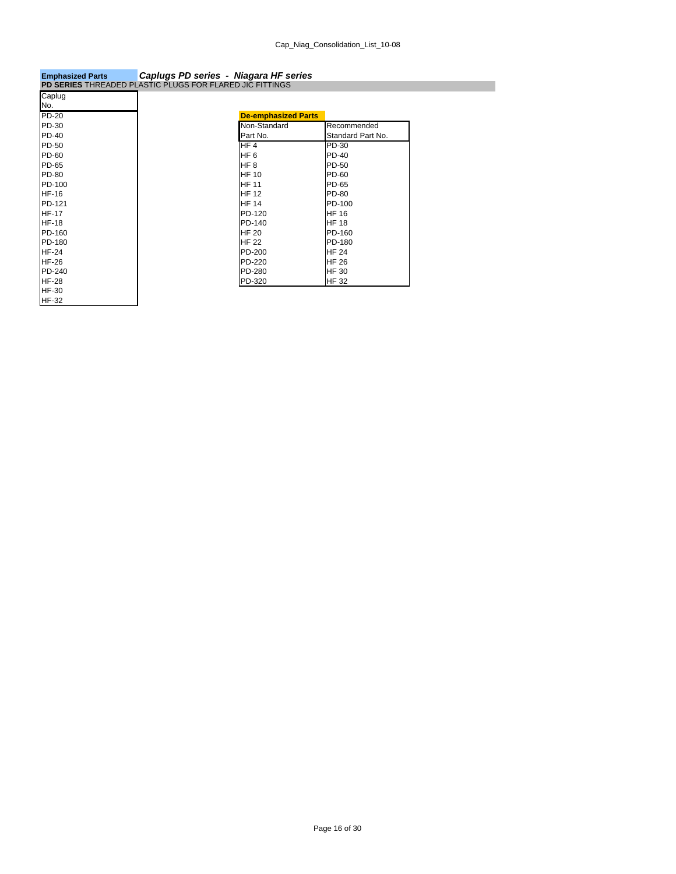| <b>Emphasized Parts</b>                                  | Caplugs PD series - Niagara HF series |                            |                   |
|----------------------------------------------------------|---------------------------------------|----------------------------|-------------------|
| PD SERIES THREADED PLASTIC PLUGS FOR FLARED JIC FITTINGS |                                       |                            |                   |
| Caplug                                                   |                                       |                            |                   |
| No.                                                      |                                       |                            |                   |
| PD-20                                                    |                                       | <b>De-emphasized Parts</b> |                   |
| <b>PD-30</b>                                             |                                       | Non-Standard               | Recommended       |
| <b>PD-40</b>                                             |                                       | Part No.                   | Standard Part No. |
| PD-50                                                    |                                       | HF4                        | PD-30             |
| PD-60                                                    |                                       | HF <sub>6</sub>            | <b>PD-40</b>      |
| PD-65                                                    |                                       | HF <sub>8</sub>            | PD-50             |
| PD-80                                                    |                                       | <b>HF 10</b>               | PD-60             |
| PD-100                                                   |                                       | <b>HF 11</b>               | PD-65             |
| <b>HF-16</b>                                             |                                       | <b>HF 12</b>               | <b>PD-80</b>      |
| PD-121                                                   |                                       | <b>HF 14</b>               | PD-100            |
| <b>HF-17</b>                                             |                                       | PD-120                     | <b>HF 16</b>      |
| <b>HF-18</b>                                             |                                       | PD-140                     | <b>HF 18</b>      |
| PD-160                                                   |                                       | <b>HF 20</b>               | PD-160            |
| PD-180                                                   |                                       | <b>HF 22</b>               | PD-180            |
| <b>HF-24</b>                                             |                                       | PD-200                     | <b>HF 24</b>      |
| <b>HF-26</b>                                             |                                       | PD-220                     | <b>HF 26</b>      |
| PD-240                                                   |                                       | PD-280                     | <b>HF 30</b>      |
| <b>HF-28</b>                                             |                                       | PD-320                     | <b>HF 32</b>      |
| <b>HF-30</b>                                             |                                       |                            |                   |
| <b>HF-32</b>                                             |                                       |                            |                   |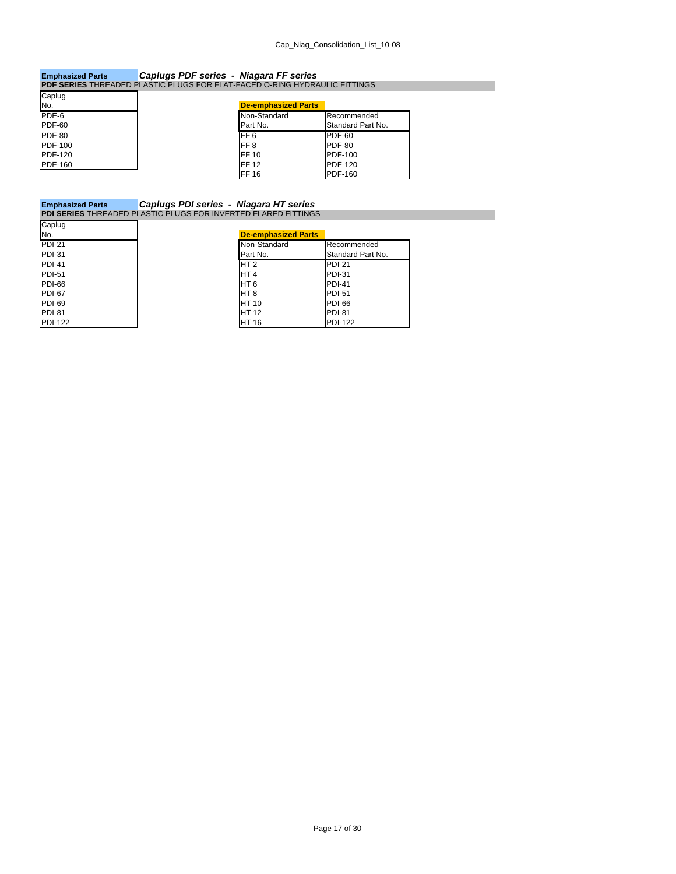### **Emphasized Parts** *Caplugs PDF series - Niagara FF series* **PDF SERIES** THREADED PLASTIC PLUGS FOR FLAT-FACED O-RING HYDRAULIC FITTINGS Caplug

| Capiuy         |                            |                   |
|----------------|----------------------------|-------------------|
| No.            | <b>De-emphasized Parts</b> |                   |
| PDE-6          | Non-Standard               | Recommended       |
| <b>PDF-60</b>  | Part No.                   | Standard Part No. |
| <b>PDF-80</b>  | FF <sub>6</sub>            | PDF-60            |
| PDF-100        | FF <sub>8</sub>            | <b>PDF-80</b>     |
| <b>PDF-120</b> | FF 10                      | PDF-100           |
| PDF-160        | <b>FF12</b>                | PDF-120           |
|                | <b>FF16</b>                | <b>PDF-160</b>    |

### **Emphasized Parts** *Caplugs PDI series - Niagara HT series* **PDI SERIES** THREADED PLASTIC PLUGS FOR INVERTED FLARED FITTINGS

| Caplug         |                            |                   |  |  |
|----------------|----------------------------|-------------------|--|--|
| No.            | <b>De-emphasized Parts</b> |                   |  |  |
| <b>PDI-21</b>  | Non-Standard               | Recommended       |  |  |
| PDI-31         | Part No.                   | Standard Part No. |  |  |
| <b>PDI-41</b>  | HT <sub>2</sub>            | <b>PDI-21</b>     |  |  |
| $PDI-51$       | HT <sub>4</sub>            | <b>PDI-31</b>     |  |  |
| PDI-66         | HT <sub>6</sub>            | <b>PDI-41</b>     |  |  |
| PDI-67         | HT <sub>8</sub>            | <b>PDI-51</b>     |  |  |
| <b>PDI-69</b>  | <b>HT 10</b>               | PDI-66            |  |  |
| <b>PDI-81</b>  | <b>HT 12</b>               | <b>PDI-81</b>     |  |  |
| <b>PDI-122</b> | <b>HT 16</b>               | <b>PDI-122</b>    |  |  |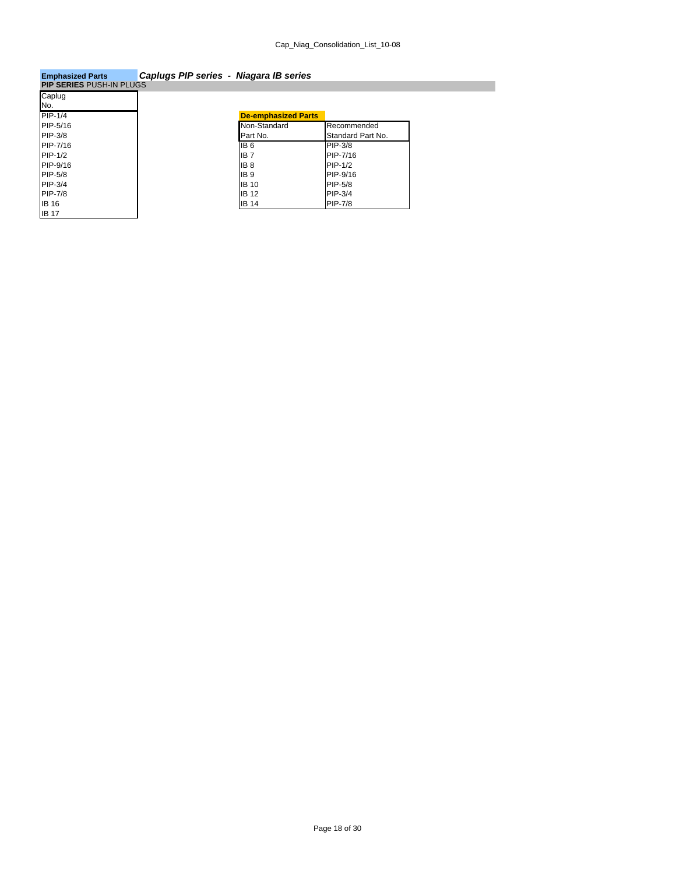| <b>Emphasized Parts</b> | Caplugs PIP series - Niagara IB series |  |
|-------------------------|----------------------------------------|--|
|                         |                                        |  |

| PIP SERIES PUSH-IN PLUGS |                            |                   |
|--------------------------|----------------------------|-------------------|
| Caplug                   |                            |                   |
| No.                      |                            |                   |
| PIP-1/4                  | <b>De-emphasized Parts</b> |                   |
| PIP-5/16                 | Non-Standard               | Recommended       |
| PIP-3/8                  | Part No.                   | Standard Part No. |
| PIP-7/16                 | IB <sub>6</sub>            | PIP-3/8           |
| PIP-1/2                  | IB <sub>7</sub>            | PIP-7/16          |
| PIP-9/16                 | IB <sub>8</sub>            | PIP-1/2           |
| PIP-5/8                  | <b>IB9</b>                 | PIP-9/16          |
| PIP-3/4                  | <b>IB 10</b>               | PIP-5/8           |
| PIP-7/8                  | <b>IB 12</b>               | <b>PIP-3/4</b>    |
| IB 16                    | <b>IB 14</b>               | <b>PIP-7/8</b>    |
| <b>IB 17</b>             |                            |                   |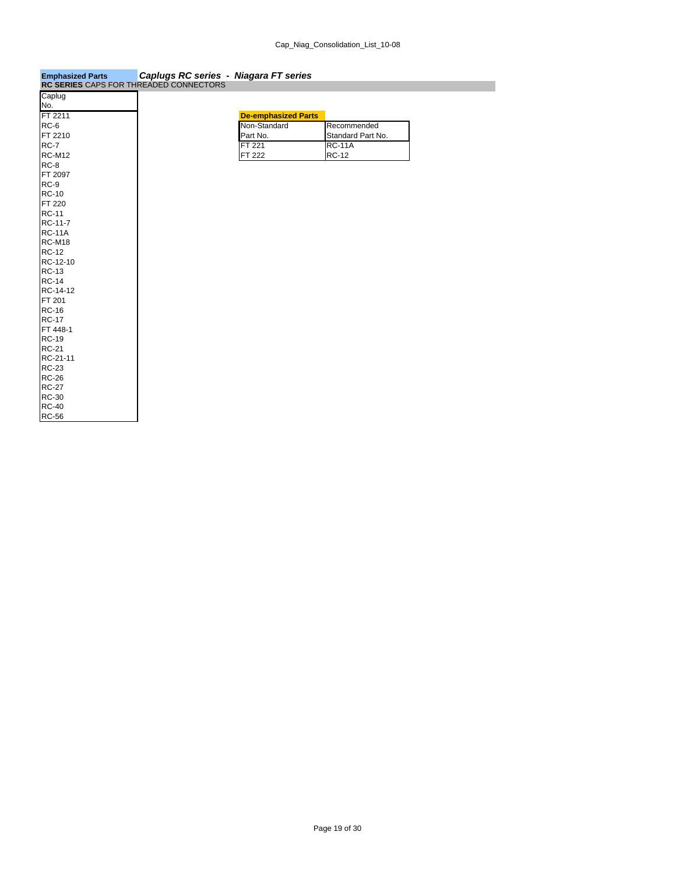| <b>Emphasized Parts</b>                       | Caplugs RC series - Niagara FT series |  |
|-----------------------------------------------|---------------------------------------|--|
| <b>RC SERIES CAPS FOR THREADED CONNECTORS</b> |                                       |  |

| <b>RU SERIES</b> CAPS FOR THREADED CONNECTORS |                            |              |
|-----------------------------------------------|----------------------------|--------------|
| Caplug                                        |                            |              |
| No.                                           |                            |              |
| FT 2211                                       | <b>De-emphasized Parts</b> |              |
| RC-6                                          | Non-Standard               | Recon        |
| FT 2210                                       | Part No.                   | Standa       |
| <b>RC-7</b>                                   | FT 221                     | <b>RC-11</b> |
| <b>RC-M12</b>                                 | FT 222                     | <b>RC-12</b> |
| <b>RC-8</b>                                   |                            |              |
| FT 2097                                       |                            |              |
| $RC-9$                                        |                            |              |
| <b>RC-10</b>                                  |                            |              |
| FT 220                                        |                            |              |
| <b>RC-11</b>                                  |                            |              |
| RC-11-7                                       |                            |              |
| <b>RC-11A</b>                                 |                            |              |
| <b>RC-M18</b>                                 |                            |              |
| <b>RC-12</b>                                  |                            |              |
| RC-12-10                                      |                            |              |
| <b>RC-13</b>                                  |                            |              |
| <b>RC-14</b>                                  |                            |              |
| RC-14-12                                      |                            |              |
| FT 201                                        |                            |              |
| <b>RC-16</b>                                  |                            |              |
| <b>RC-17</b>                                  |                            |              |
| FT 448-1                                      |                            |              |
| <b>RC-19</b>                                  |                            |              |
| <b>RC-21</b>                                  |                            |              |
| RC-21-11                                      |                            |              |
| <b>RC-23</b>                                  |                            |              |
| <b>RC-26</b>                                  |                            |              |
| <b>RC-27</b>                                  |                            |              |
| <b>RC-30</b>                                  |                            |              |
| <b>RC-40</b>                                  |                            |              |
| <b>RC-56</b>                                  |                            |              |

#### **De-emphasized Parts**<br>Non-Standard<br>Part No. RC-6 **Non-Standard** Recommended FT 2210 **Part No.** Part No. Standard Part No. RC-7 **ROUPLE ROUPLE ROUPLE ROUPLE ROUPLE ROUPLE ROUPLE ROUPLE ROUPLE ROUPLE ROUPLE ROUPLE ROUPLE ROUPLE ROUPLE**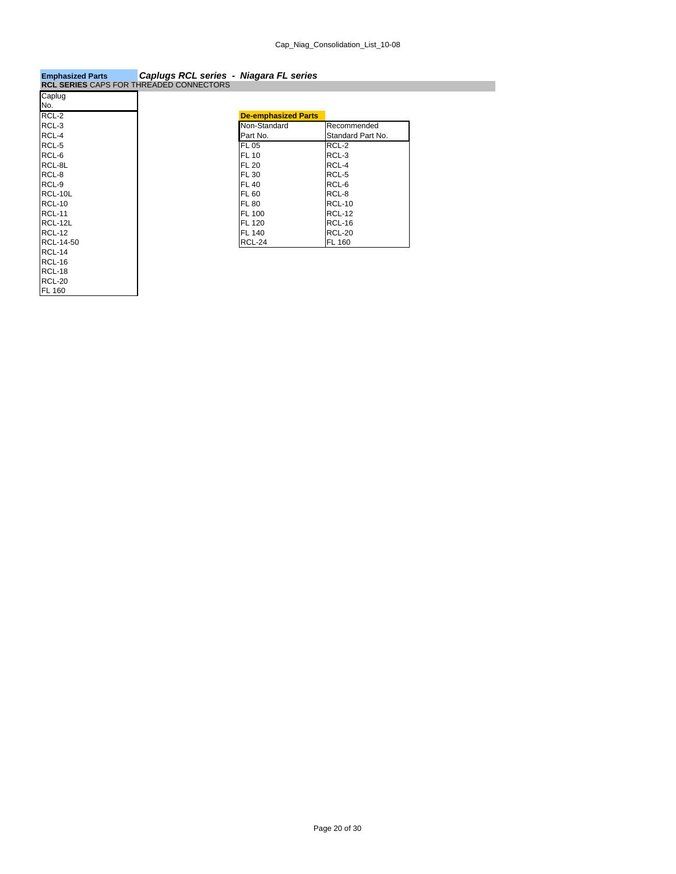## **Emphasized Parts** *Caplugs RCL series - Niagara FL series* **RCL SERIES** CAPS FOR THREADED CONNECTORS

|                     | ◡◠ | ັບ |  |
|---------------------|----|----|--|
| Caplug              |    |    |  |
| No.                 |    |    |  |
| $\overline{RCL}$ -2 |    |    |  |
| RCL-3               |    |    |  |
| RCL-4               |    |    |  |
| RCL-5               |    |    |  |
| RCL-6               |    |    |  |
| RCL-8L              |    |    |  |
| RCL-8               |    |    |  |
| RCL-9               |    |    |  |
| RCL-10L             |    |    |  |
| <b>RCL-10</b>       |    |    |  |
| <b>RCL-11</b>       |    |    |  |
| RCL-12L             |    |    |  |
| <b>RCL-12</b>       |    |    |  |
| RCL-14-50           |    |    |  |
| RCL-14              |    |    |  |
| RCL-16              |    |    |  |
| <b>RCL-18</b>       |    |    |  |
| <b>RCL-20</b>       |    |    |  |
| FL 160              |    |    |  |

| $RCL-2$<br><b>De-emphasized Parts</b><br>RCL-3<br>Non-Standard<br>Recommended<br>RCL-4<br>Part No.<br>Standard Part No.<br>RCL-5<br>RCL-2<br><b>FL 05</b><br>RCL-6<br>RCL-3<br><b>FL 10</b><br>RCL-8L<br>RCL-4<br><b>FL 20</b><br>RCL-8<br>RCL-5<br><b>FL 30</b><br>RCL-9<br>RCL-6<br><b>FL 40</b><br>RCL-10L<br>RCL-8<br><b>FL 60</b><br>RCL-10<br><b>RCL-10</b><br>FL 80<br><b>RCL-11</b><br><b>RCL-12</b><br><b>FL 100</b><br>RCL-12L<br><b>RCL-16</b><br>FL 120<br>RCL-12<br><b>FL 140</b><br><b>RCL-20</b><br>RCL-14-50<br><b>RCL-24</b><br><b>FL 160</b> | IVU. |  |  |
|----------------------------------------------------------------------------------------------------------------------------------------------------------------------------------------------------------------------------------------------------------------------------------------------------------------------------------------------------------------------------------------------------------------------------------------------------------------------------------------------------------------------------------------------------------------|------|--|--|
|                                                                                                                                                                                                                                                                                                                                                                                                                                                                                                                                                                |      |  |  |
|                                                                                                                                                                                                                                                                                                                                                                                                                                                                                                                                                                |      |  |  |
|                                                                                                                                                                                                                                                                                                                                                                                                                                                                                                                                                                |      |  |  |
|                                                                                                                                                                                                                                                                                                                                                                                                                                                                                                                                                                |      |  |  |
|                                                                                                                                                                                                                                                                                                                                                                                                                                                                                                                                                                |      |  |  |
|                                                                                                                                                                                                                                                                                                                                                                                                                                                                                                                                                                |      |  |  |
|                                                                                                                                                                                                                                                                                                                                                                                                                                                                                                                                                                |      |  |  |
|                                                                                                                                                                                                                                                                                                                                                                                                                                                                                                                                                                |      |  |  |
|                                                                                                                                                                                                                                                                                                                                                                                                                                                                                                                                                                |      |  |  |
|                                                                                                                                                                                                                                                                                                                                                                                                                                                                                                                                                                |      |  |  |
|                                                                                                                                                                                                                                                                                                                                                                                                                                                                                                                                                                |      |  |  |
|                                                                                                                                                                                                                                                                                                                                                                                                                                                                                                                                                                |      |  |  |
|                                                                                                                                                                                                                                                                                                                                                                                                                                                                                                                                                                |      |  |  |
|                                                                                                                                                                                                                                                                                                                                                                                                                                                                                                                                                                |      |  |  |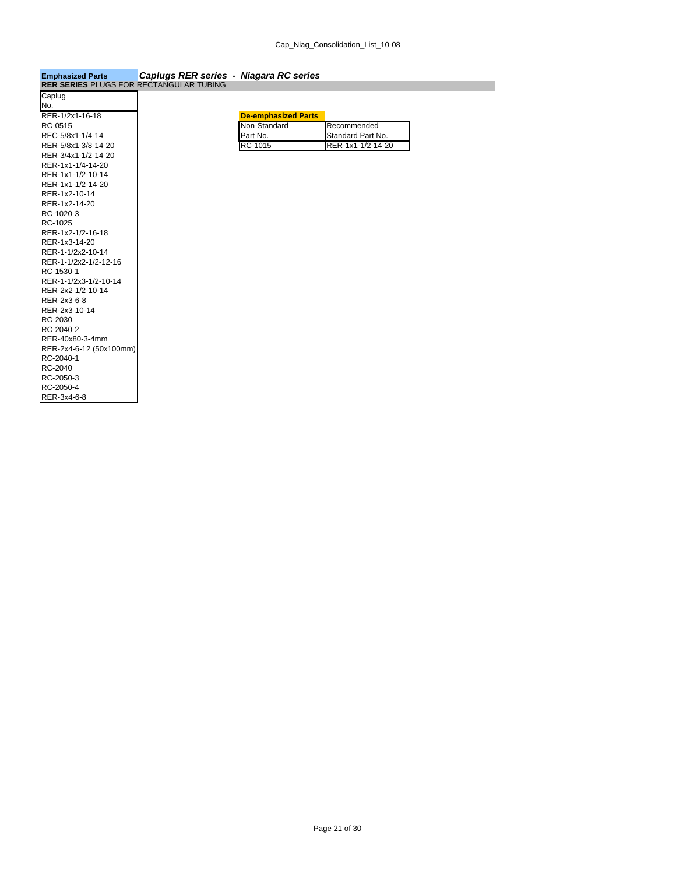| <b>Emphasized Parts</b>                        | Caplugs RER series - Niagara RC series |  |
|------------------------------------------------|----------------------------------------|--|
| <b>RER SERIES PLUGS FOR RECTANGULAR TUBING</b> |                                        |  |

| .                       |  |                            |                   |
|-------------------------|--|----------------------------|-------------------|
| Caplug                  |  |                            |                   |
| No.                     |  |                            |                   |
| RER-1/2x1-16-18         |  | <b>De-emphasized Parts</b> |                   |
| RC-0515                 |  | Non-Standard               | Recommended       |
| REC-5/8x1-1/4-14        |  | Part No.                   | Standard Part No. |
| RER-5/8x1-3/8-14-20     |  | RC-1015                    | RER-1x1-1/2-14-20 |
| RER-3/4x1-1/2-14-20     |  |                            |                   |
| RER-1x1-1/4-14-20       |  |                            |                   |
| RER-1x1-1/2-10-14       |  |                            |                   |
| RER-1x1-1/2-14-20       |  |                            |                   |
| RER-1x2-10-14           |  |                            |                   |
| RER-1x2-14-20           |  |                            |                   |
| RC-1020-3               |  |                            |                   |
| RC-1025                 |  |                            |                   |
| RER-1x2-1/2-16-18       |  |                            |                   |
| RER-1x3-14-20           |  |                            |                   |
| RER-1-1/2x2-10-14       |  |                            |                   |
| RER-1-1/2x2-1/2-12-16   |  |                            |                   |
| RC-1530-1               |  |                            |                   |
| RER-1-1/2x3-1/2-10-14   |  |                            |                   |
| RER-2x2-1/2-10-14       |  |                            |                   |
| RER-2x3-6-8             |  |                            |                   |
| RER-2x3-10-14           |  |                            |                   |
| RC-2030                 |  |                            |                   |
| RC-2040-2               |  |                            |                   |
| RER-40x80-3-4mm         |  |                            |                   |
| RER-2x4-6-12 (50x100mm) |  |                            |                   |
| RC-2040-1               |  |                            |                   |
| RC-2040                 |  |                            |                   |
| RC-2050-3               |  |                            |                   |
| RC-2050-4               |  |                            |                   |
| RER-3x4-6-8             |  |                            |                   |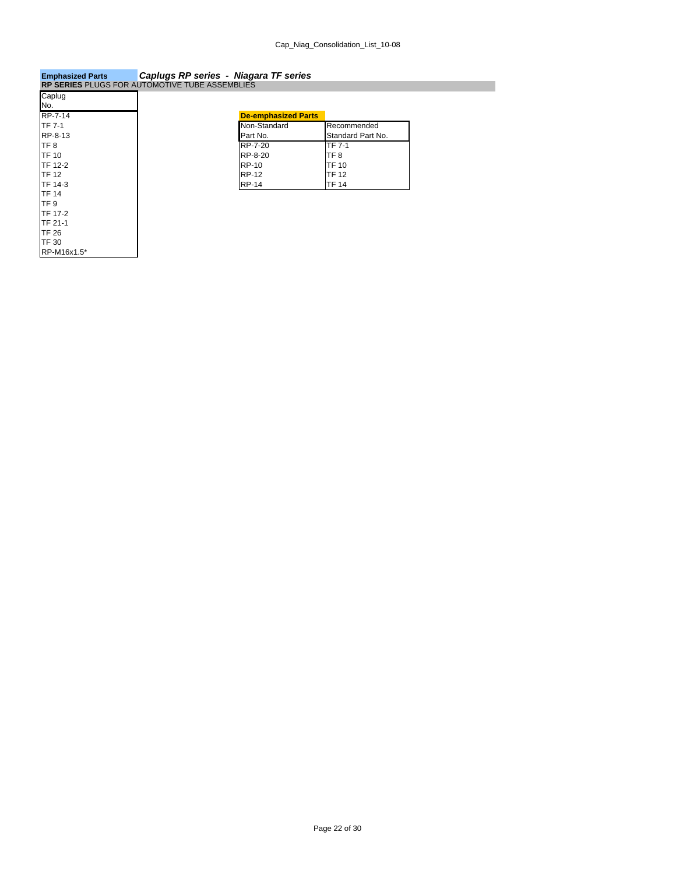## **Emphasized Parts** *Caplugs RP series - Niagara TF series* **RP SERIES** PLUGS FOR AUTOMOTIVE TUBE ASSEMBLIES

| <u>NE JENIEJ FLUGOTUR AUTOMOTIVE TUDE AJJEMBLIEJ</u> |                            |
|------------------------------------------------------|----------------------------|
| Caplug                                               |                            |
| No.                                                  |                            |
| RP-7-14                                              | <b>De-emphasized Parts</b> |
| <b>TF 7-1</b>                                        | Non-Standard               |
| RP-8-13                                              | Part No.                   |
| TF <sub>8</sub>                                      | RP-7-20                    |
| <b>TF 10</b>                                         | RP-8-20                    |
| <b>TF 12-2</b>                                       | <b>RP-10</b>               |
| <b>TF 12</b>                                         | <b>RP-12</b>               |
| <b>TF 14-3</b>                                       | <b>RP-14</b>               |
| <b>TF 14</b>                                         |                            |
| TF <sub>9</sub>                                      |                            |
| <b>TF 17-2</b>                                       |                            |
| TF 21-1                                              |                            |
| <b>TF 26</b>                                         |                            |
| <b>TF 30</b>                                         |                            |
| RP-M16x1.5*                                          |                            |

| RP-7-14 | <b>De-emphasized Parts</b> |                   |
|---------|----------------------------|-------------------|
| TF 7-1  | Non-Standard               | Recommended       |
| RP-8-13 | Part No.                   | Standard Part No. |
| TF 8    | RP-7-20                    | TF 7-1            |
| TF 10   | RP-8-20                    | TF 8              |
| TF 12-2 | <b>RP-10</b>               | <b>TF 10</b>      |
| TF 12   | <b>RP-12</b>               | <b>TF 12</b>      |
| TF 14-3 | <b>RP-14</b>               | <b>TF 14</b>      |
|         |                            |                   |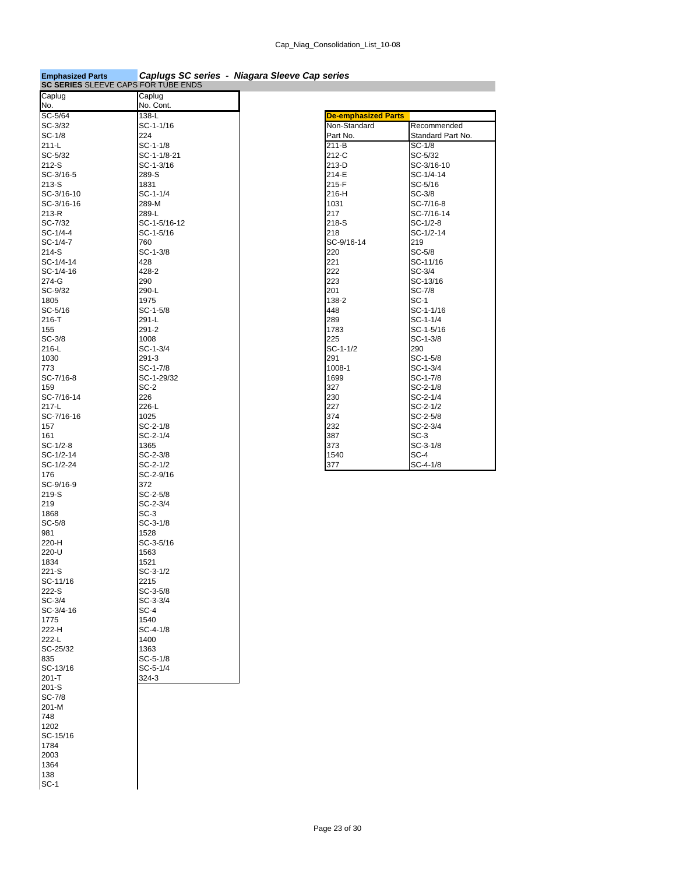| <b>Emphasized Parts</b>             |                      | Caplugs SC series - Niagara Sleeve Cap series |                         |
|-------------------------------------|----------------------|-----------------------------------------------|-------------------------|
| SC SERIES SLEEVE CAPS FOR TUBE ENDS |                      |                                               |                         |
| Caplug<br>No.                       | Caplug<br>No. Cont.  |                                               |                         |
| SC-5/64                             | 138-L                | <b>De-emphasized Parts</b>                    |                         |
| SC-3/32                             | SC-1-1/16            | Non-Standard                                  | Recommended             |
| SC-1/8                              | 224                  | Part No.                                      | Standard Part No.       |
| $211-L$                             | $SC-1-1/8$           | 211-B                                         | $SC-1/8$                |
| SC-5/32                             | SC-1-1/8-21          | 212-C                                         | SC-5/32                 |
| 212-S                               | SC-1-3/16            | 213-D                                         | SC-3/16-10              |
| SC-3/16-5                           | 289-S                | 214-E                                         | SC-1/4-14               |
| 213-S                               | 1831                 | 215-F                                         | SC-5/16                 |
| SC-3/16-10                          | SC-1-1/4             | 216-H                                         | $SC-3/8$                |
| SC-3/16-16<br>213-R                 | 289-M<br>289-L       | 1031<br>217                                   | SC-7/16-8<br>SC-7/16-14 |
| SC-7/32                             | SC-1-5/16-12         | 218-S                                         | $SC-1/2-8$              |
| SC-1/4-4                            | SC-1-5/16            | 218                                           | SC-1/2-14               |
| SC-1/4-7                            | 760                  | SC-9/16-14                                    | 219                     |
| 214-S                               | $SC-1-3/8$           | 220                                           | SC-5/8                  |
| SC-1/4-14                           | 428                  | 221                                           | SC-11/16                |
| SC-1/4-16                           | 428-2                | 222                                           | $SC-3/4$                |
| 274-G                               | 290                  | 223                                           | SC-13/16                |
| SC-9/32                             | 290-L                | 201                                           | <b>SC-7/8</b>           |
| 1805                                | 1975                 | 138-2                                         | <b>SC-1</b>             |
| SC-5/16                             | $SC-1-5/8$           | 448                                           | SC-1-1/16               |
| 216-T                               | 291-L                | 289                                           | SC-1-1/4                |
| 155                                 | $291 - 2$            | 1783                                          | SC-1-5/16               |
| $SC-3/8$                            | 1008                 | 225                                           | SC-1-3/8                |
| 216-L                               | $SC-1-3/4$           | $SC-1-1/2$                                    | 290                     |
| 1030                                | $291 - 3$            | 291                                           | SC-1-5/8                |
| 773                                 | SC-1-7/8             | 1008-1                                        | SC-1-3/4                |
| SC-7/16-8<br>159                    | SC-1-29/32<br>$SC-2$ | 1699<br>327                                   | SC-1-7/8<br>SC-2-1/8    |
| SC-7/16-14                          | 226                  | 230                                           | SC-2-1/4                |
| 217-L                               | 226-L                | 227                                           | SC-2-1/2                |
| SC-7/16-16                          | 1025                 | 374                                           | SC-2-5/8                |
| 157                                 | SC-2-1/8             | 232                                           | SC-2-3/4                |
| 161                                 | SC-2-1/4             | 387                                           | SC-3                    |
| SC-1/2-8                            | 1365                 | 373                                           | SC-3-1/8                |
| SC-1/2-14                           | $SC-2-3/8$           | 1540                                          | $SC-4$                  |
| SC-1/2-24                           | $SC-2-1/2$           | 377                                           | SC-4-1/8                |
| 176                                 | SC-2-9/16            |                                               |                         |
| SC-9/16-9                           | 372                  |                                               |                         |
| 219-S                               | $SC-2-5/8$           |                                               |                         |
| 219                                 | SC-2-3/4             |                                               |                         |
| 1868                                | $SC-3$               |                                               |                         |
| $SC-5/8$                            | SC-3-1/8             |                                               |                         |
| 981                                 | 1528                 |                                               |                         |
| 220-H<br>220-U                      | SC-3-5/16<br>1563    |                                               |                         |
| 1834                                | 1521                 |                                               |                         |
| 221-S                               | SC-3-1/2             |                                               |                         |
| SC-11/16                            | 2215                 |                                               |                         |
| 222-S                               | $SC-3-5/8$           |                                               |                         |
| SC-3/4                              | SC-3-3/4             |                                               |                         |
| SC-3/4-16                           | $SC-4$               |                                               |                         |
| 1775                                | 1540                 |                                               |                         |
| 222-H                               | $SC-4-1/8$           |                                               |                         |
| 222-L                               | 1400                 |                                               |                         |
| SC-25/32                            | 1363                 |                                               |                         |
| 835                                 | $SC-5-1/8$           |                                               |                         |
| SC-13/16                            | SC-5-1/4             |                                               |                         |
| $201 - T$                           | 324-3                |                                               |                         |
| $201-S$                             |                      |                                               |                         |
| SC-7/8                              |                      |                                               |                         |
| 201-M                               |                      |                                               |                         |
| 748                                 |                      |                                               |                         |
| 1202                                |                      |                                               |                         |
| SC-15/16                            |                      |                                               |                         |
| 1784                                |                      |                                               |                         |
| 2003                                |                      |                                               |                         |
| 1364                                |                      |                                               |                         |
| 138                                 |                      |                                               |                         |
| $SC-1$                              |                      |                                               |                         |

| <b>De-emphasized Parts</b> |                   |
|----------------------------|-------------------|
| Non-Standard               | Recommended       |
| Part No.                   | Standard Part No. |
| 211-B                      | SC-1/8            |
| 212-C                      | SC-5/32           |
| 213-D                      | SC-3/16-10        |
| 214-E                      | SC-1/4-14         |
| 215-F                      | SC-5/16           |
| 216-H                      | SC-3/8            |
| 1031                       | SC-7/16-8         |
| 217                        | SC-7/16-14        |
| 218-S                      | $SC-1/2-8$        |
| 218                        | SC-1/2-14         |
| SC-9/16-14                 | 219               |
| 220                        | $SC-5/8$          |
| 221                        | SC-11/16          |
| 222                        | SC-3/4            |
| 223                        | SC-13/16          |
| 201                        | SC-7/8            |
| 138-2                      | $SC-1$            |
| 448                        | SC-1-1/16         |
| 289                        | $SC-1-1/4$        |
| 1783                       | $SC-1-5/16$       |
| 225                        | SC-1-3/8          |
| $SC-1-1/2$                 | 290               |
| 291                        | $SC-1-5/8$        |
| 1008-1                     | SC-1-3/4          |
| 1699                       | SC-1-7/8          |
| 327                        | $SC-2-1/8$        |
| 230                        | SC-2-1/4          |
| 227                        | SC-2-1/2          |
| 374                        | $SC - 2 - 5/8$    |
| 232                        | SC-2-3/4          |
| 387                        | $SC-3$            |
| 373                        | SC-3-1/8          |
| 1540                       | $SC-4$            |
| 377                        | SC-4-1/8          |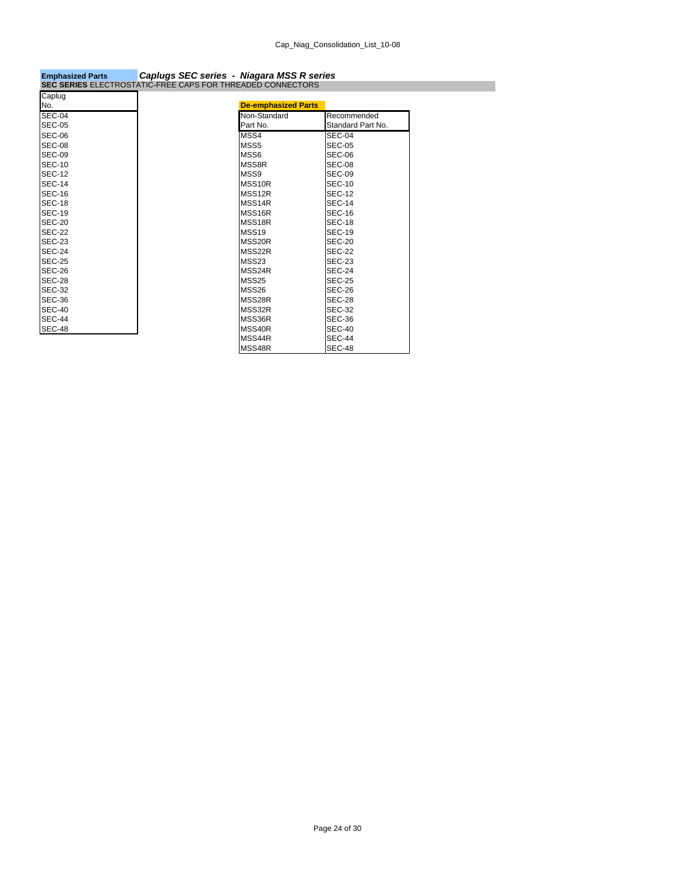| SEC SERIES ELECTROSTATIC-FREE CAPS FOR THREADED CONNECTORS |                            |                   |
|------------------------------------------------------------|----------------------------|-------------------|
| Caplug                                                     |                            |                   |
| No.                                                        | <b>De-emphasized Parts</b> |                   |
| <b>SEC-04</b>                                              | Non-Standard               | Recommended       |
| <b>SEC-05</b>                                              | Part No.                   | Standard Part No. |
| SEC-06                                                     | MSS4                       | SEC-04            |
| <b>SEC-08</b>                                              | MSS <sub>5</sub>           | <b>SEC-05</b>     |
| <b>SEC-09</b>                                              | MSS6                       | SEC-06            |
| <b>SEC-10</b>                                              | MSS8R                      | SEC-08            |
| <b>SEC-12</b>                                              | MSS9                       | SEC-09            |
| <b>SEC-14</b>                                              | MSS10R                     | <b>SEC-10</b>     |
| <b>SEC-16</b>                                              | MSS12R                     | <b>SEC-12</b>     |
| <b>SEC-18</b>                                              | MSS14R                     | <b>SEC-14</b>     |
| <b>SEC-19</b>                                              | MSS16R                     | <b>SEC-16</b>     |
| <b>SEC-20</b>                                              | MSS18R                     | <b>SEC-18</b>     |
| <b>SEC-22</b>                                              | MSS19                      | <b>SEC-19</b>     |
| <b>SEC-23</b>                                              | MSS20R                     | <b>SEC-20</b>     |
| <b>SEC-24</b>                                              | MSS22R                     | <b>SEC-22</b>     |
| <b>SEC-25</b>                                              | MSS23                      | SEC-23            |
| <b>SEC-26</b>                                              | MSS24R                     | <b>SEC-24</b>     |
| <b>SEC-28</b>                                              | MSS25                      | <b>SEC-25</b>     |
| <b>SEC-32</b>                                              | MSS26                      | SEC-26            |
| <b>SEC-36</b>                                              | MSS28R                     | <b>SEC-28</b>     |
| <b>SEC-40</b>                                              | MSS32R                     | <b>SEC-32</b>     |
| <b>SEC-44</b>                                              | MSS36R                     | SEC-36            |
| <b>SEC-48</b>                                              | MSS40R                     | <b>SEC-40</b>     |
|                                                            | MSS44R                     | <b>SEC-44</b>     |
|                                                            | MSS48R                     | <b>SEC-48</b>     |

# **Emphasized Parts** *Caplugs SEC series - Niagara MSS R series*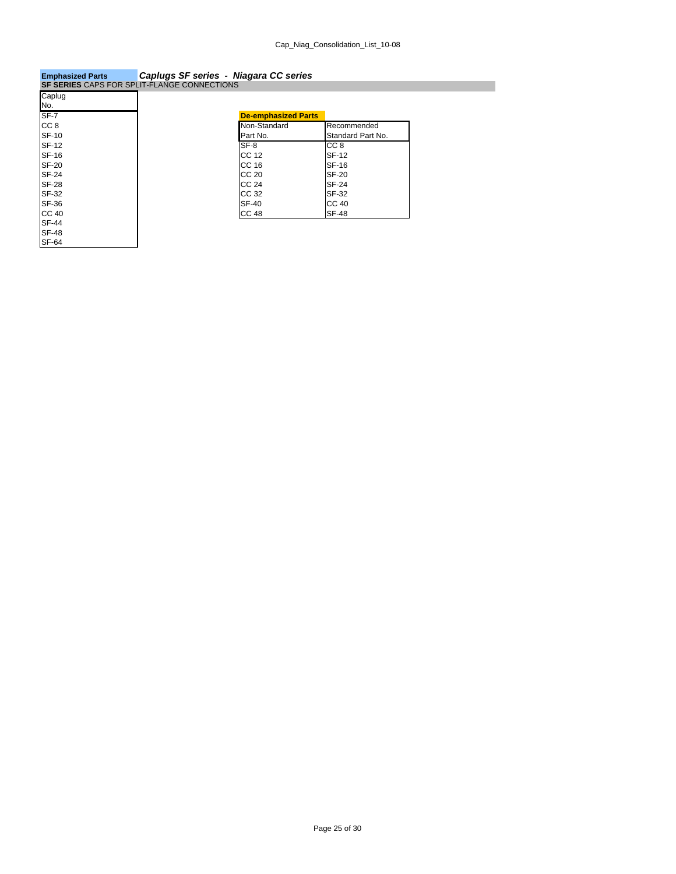## **Emphasized Parts** *Caplugs SF series - Niagara CC series* **SF SERIES** CAPS FOR SPLIT-FLANGE CONNECTIONS

|                 | <b>SF SERIES</b> CAPS FOR SPLIT-FLANGE CONNECTIONS |
|-----------------|----------------------------------------------------|
| Caplug          |                                                    |
| No.             |                                                    |
| $SF-7$          | <b>De-emphasized Parts</b>                         |
| CC <sub>8</sub> | Non-Standard                                       |
| <b>SF-10</b>    | Part No.                                           |
| <b>SF-12</b>    | $SF-8$                                             |
| <b>SF-16</b>    | CC 12                                              |
| <b>SF-20</b>    | CC 16                                              |
| <b>SF-24</b>    | CC 20                                              |
| <b>SF-28</b>    | CC 24                                              |
| SF-32           | CC 32                                              |
| <b>SF-36</b>    | <b>SF-40</b>                                       |
| <b>CC 40</b>    | CC 48                                              |
| <b>SF-44</b>    |                                                    |
| <b>SF-48</b>    |                                                    |
| <b>SF-64</b>    |                                                    |

| <b>De-emphasized Parts</b> |                   |
|----------------------------|-------------------|
| Non-Standard               | Recommended       |
| Part No.                   | Standard Part No. |
| SF-8                       | CC 8              |
| CC 12                      | <b>SF-12</b>      |
| CC 16                      | <b>SF-16</b>      |
| CC 20                      | <b>SF-20</b>      |
| CC 24                      | <b>SF-24</b>      |
| CC 32                      | SF-32             |
| <b>SF-40</b>               | <b>CC 40</b>      |
| <b>CC 48</b>               | <b>SF-48</b>      |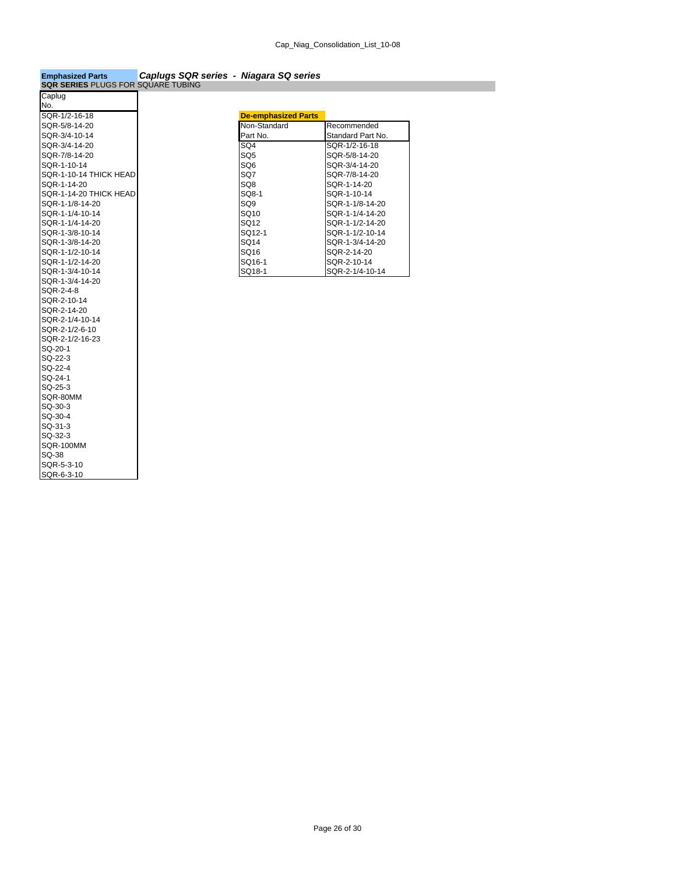## **Emphasized Parts** *Caplugs SQR series - Niagara SQ series* **SQR SERIES** PLUGS FOR SQUARE TUBING

| Caplug                 |                            |
|------------------------|----------------------------|
| No.                    |                            |
| SQR-1/2-16-18          | <b>De-emphasized Parts</b> |
| SQR-5/8-14-20          | Non-Standard               |
| SQR-3/4-10-14          | Part No.                   |
| SQR-3/4-14-20          | SQ4                        |
| SQR-7/8-14-20          | SQ <sub>5</sub>            |
| SQR-1-10-14            | SQ <sub>6</sub>            |
| SQR-1-10-14 THICK HEAD | SQ7                        |
| SQR-1-14-20            | SQ8                        |
| SQR-1-14-20 THICK HEAD | SQ8-1                      |
| SQR-1-1/8-14-20        | SQ <sub>9</sub>            |
| SOR-1-1/4-10-14        | SQ10                       |
| SQR-1-1/4-14-20        | SQ12                       |
| SQR-1-3/8-10-14        | SQ12-1                     |
| SQR-1-3/8-14-20        | SQ14                       |
| SQR-1-1/2-10-14        | SQ16                       |
| SQR-1-1/2-14-20        | SQ16-1                     |
| SQR-1-3/4-10-14        | SQ18-1                     |
| SQR-1-3/4-14-20        |                            |
| SQR-2-4-8              |                            |
| SQR-2-10-14            |                            |
| SQR-2-14-20            |                            |
| SQR-2-1/4-10-14        |                            |
| SQR-2-1/2-6-10         |                            |
| SQR-2-1/2-16-23        |                            |
| SQ-20-1                |                            |
| SQ-22-3                |                            |
| SQ-22-4                |                            |
| SQ-24-1                |                            |
| SQ-25-3                |                            |
| SQR-80MM               |                            |
| SQ-30-3                |                            |
| SQ-30-4                |                            |
| SQ-31-3                |                            |
| SQ-32-3                |                            |
| <b>SQR-100MM</b>       |                            |
| SQ-38                  |                            |
| SQR-5-3-10             |                            |
| SQR-6-3-10             |                            |

| SQR-1/2-16-18          | <b>De-emphasized Parts</b> |                   |
|------------------------|----------------------------|-------------------|
| SQR-5/8-14-20          | Non-Standard               | Recommended       |
| SOR-3/4-10-14          | Part No.                   | Standard Part No. |
| SQR-3/4-14-20          | SQ4                        | SQR-1/2-16-18     |
| SQR-7/8-14-20          | SQ <sub>5</sub>            | SQR-5/8-14-20     |
| SQR-1-10-14            | SQ <sub>6</sub>            | SQR-3/4-14-20     |
| SOR-1-10-14 THICK HEAD | SQ7                        | SQR-7/8-14-20     |
| SOR-1-14-20            | SQ8                        | SOR-1-14-20       |
| SOR-1-14-20 THICK HEAD | SQ8-1                      | SOR-1-10-14       |
| SQR-1-1/8-14-20        | SQ <sub>9</sub>            | SQR-1-1/8-14-20   |
| SOR-1-1/4-10-14        | SQ10                       | SQR-1-1/4-14-20   |
| SQR-1-1/4-14-20        | SQ12                       | SQR-1-1/2-14-20   |
| SOR-1-3/8-10-14        | SO <sub>12-1</sub>         | SQR-1-1/2-10-14   |
| SQR-1-3/8-14-20        | SQ14                       | SOR-1-3/4-14-20   |
| SQR-1-1/2-10-14        | SQ16                       | SQR-2-14-20       |
| SQR-1-1/2-14-20        | SQ16-1                     | SQR-2-10-14       |
| SQR-1-3/4-10-14        | SQ18-1                     | SQR-2-1/4-10-14   |
|                        |                            |                   |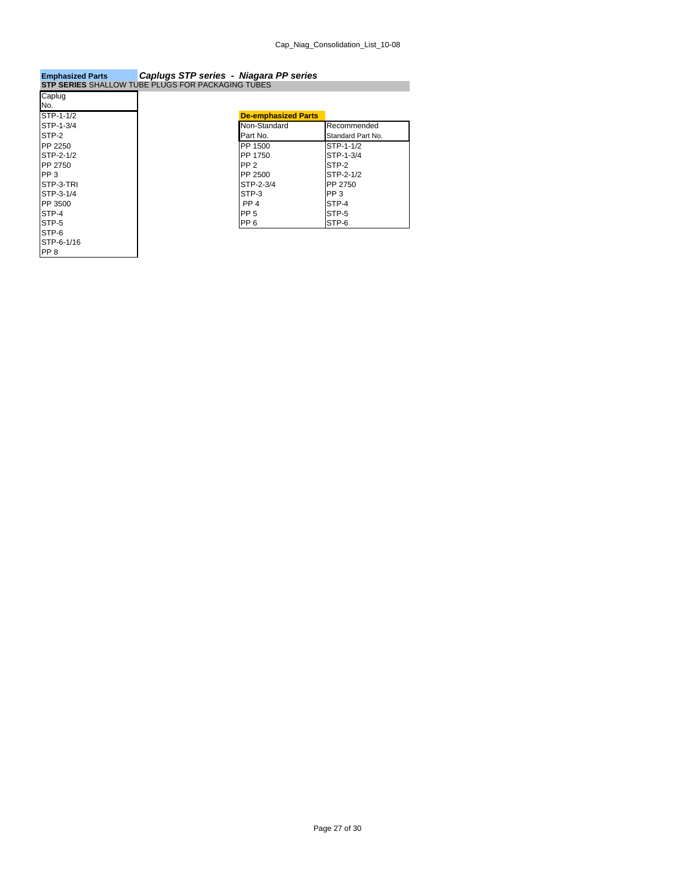## **Emphasized Parts** *Caplugs STP series - Niagara PP series* **STP SERIES** SHALLOW TUBE PLUGS FOR PACKAGING TUBES

| Caplug          |                            |
|-----------------|----------------------------|
| No.             |                            |
| STP-1-1/2       | <b>De-emphasized Parts</b> |
| STP-1-3/4       | Non-Standard               |
| STP-2           | Part No.                   |
| PP 2250         | PP 1500                    |
| STP-2-1/2       | PP 1750                    |
| PP 2750         | PP <sub>2</sub>            |
| PP <sub>3</sub> | PP 2500                    |
| STP-3-TRI       | STP-2-3/4                  |
| STP-3-1/4       | STP-3                      |
| PP 3500         | PP <sub>4</sub>            |
| STP-4           | PP <sub>5</sub>            |
| STP-5           | PP <sub>6</sub>            |
| STP-6           |                            |
| STP-6-1/16      |                            |
| PP <sub>8</sub> |                            |

| .               |                            |                   |
|-----------------|----------------------------|-------------------|
| STP-1-1/2       | <b>De-emphasized Parts</b> |                   |
| STP-1-3/4       | Non-Standard               | Recommended       |
| STP-2           | Part No.                   | Standard Part No. |
| PP 2250         | PP 1500                    | STP-1-1/2         |
| STP-2-1/2       | PP 1750                    | STP-1-3/4         |
| PP 2750         | PP <sub>2</sub>            | STP-2             |
| PP <sub>3</sub> | PP 2500                    | STP-2-1/2         |
| STP-3-TRI       | STP-2-3/4                  | PP 2750           |
| STP-3-1/4       | STP-3                      | PP <sub>3</sub>   |
| PP 3500         | PP <sub>4</sub>            | STP-4             |
| STP-4           | PP <sub>5</sub>            | STP-5             |
| STP-5           | PP <sub>6</sub>            | STP-6             |
|                 |                            |                   |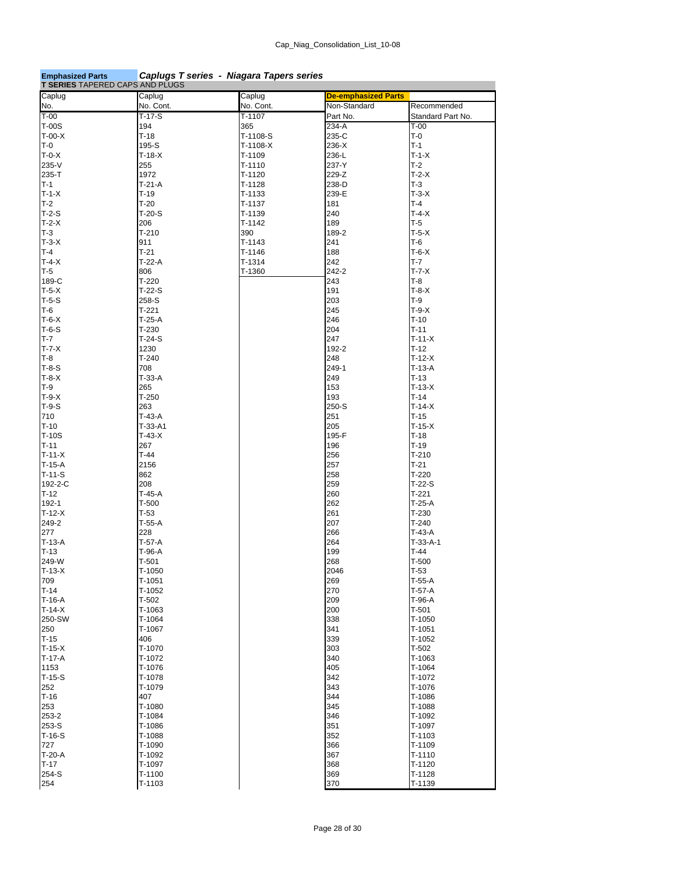| <b>Emphasized Parts</b> |  | Caplugs T series - Niagara Tapers series |
|-------------------------|--|------------------------------------------|
|-------------------------|--|------------------------------------------|

| <b>T SERIES TAPERED CAPS AND PLUGS</b> |           |            |                            |                   |
|----------------------------------------|-----------|------------|----------------------------|-------------------|
| Caplug                                 | Caplug    | Caplug     | <b>De-emphasized Parts</b> |                   |
| No.                                    | No. Cont. | No. Cont.  | Non-Standard               | Recommended       |
| $T-00$                                 | $T-17-S$  | T-1107     | Part No.                   | Standard Part No. |
| <b>T-00S</b>                           | 194       | 365        | 234-A                      | $T-00$            |
| $T-00-X$                               | $T-18$    | T-1108-S   | 235-C                      | $T-0$             |
| T-0                                    | 195-S     | $T-1108-X$ | 236-X                      | $T-1$             |
| $T-0-X$                                | $T-18-X$  | T-1109     | 236-L                      | $T-1-X$           |
| 235-V                                  | 255       | $T-1110$   | 237-Y                      | $T-2$             |
| 235-T                                  | 1972      | T-1120     | 229-Z                      | $T-2-X$           |
| $T-1$                                  | $T-21-A$  | T-1128     | 238-D                      | $T-3$             |
| $T-1-X$                                | $T-19$    |            | 239-E                      | $T-3-X$           |
|                                        |           | T-1133     |                            |                   |
| $T-2$                                  | $T-20$    | T-1137     | 181                        | $T-4$             |
| $T-2-S$                                | $T-20-S$  | T-1139     | 240                        | $T-4-X$           |
| $T-2-X$                                | 206       | T-1142     | 189                        | $T-5$             |
| $T-3$                                  | $T-210$   | 390        | 189-2                      | $T-5-X$           |
| $T-3-X$                                | 911       | $T-1143$   | 241                        | $T-6$             |
| $T-4$                                  | $T-21$    | T-1146     | 188                        | $T-6-X$           |
| $T-4-X$                                | $T-22-A$  | T-1314     | 242                        | $T-7$             |
| $T-5$                                  | 806       | T-1360     | 242-2                      | $T - 7 - X$       |
| 189-C                                  | $T-220$   |            | 243                        | T-8               |
| $T-5-X$                                | $T-22-S$  |            | 191                        | $T-8-X$           |
| $T-5-S$                                | 258-S     |            | 203                        | $T-9$             |
| T-6                                    | $T-221$   |            | 245                        | $T-9-X$           |
| $T-6-X$                                | $T-25-A$  |            | 246                        | $T-10$            |
| $T-6-S$                                | $T-230$   |            | 204                        | $T-11$            |
| $T-7$                                  | $T-24-S$  |            | 247                        | $T-11-X$          |
|                                        |           |            |                            |                   |
| $T - 7 - X$                            | 1230      |            | 192-2                      | $T-12$            |
| $T-8$                                  | $T-240$   |            | 248                        | $T-12-X$          |
| $T-8-S$                                | 708       |            | 249-1                      | $T-13-A$          |
| $T-8-X$                                | $T-33-A$  |            | 249                        | $T-13$            |
| T-9                                    | 265       |            | 153                        | $T-13-X$          |
| $T-9-X$                                | $T-250$   |            | 193                        | $T-14$            |
| $T-9-S$                                | 263       |            | 250-S                      | $T-14-X$          |
| 710                                    | $T-43-A$  |            | 251                        | $T-15$            |
| $T-10$                                 | $T-33-A1$ |            | 205                        | $T-15-X$          |
| $T-10S$                                | $T-43-X$  |            | 195-F                      | $T-18$            |
| $T-11$                                 | 267       |            | 196                        | $T-19$            |
| $T-11-X$                               | $T-44$    |            | 256                        | $T-210$           |
| $T-15-A$                               | 2156      |            | 257                        | $T-21$            |
| T-11-S                                 | 862       |            | 258                        | $T-220$           |
| 192-2-C                                | 208       |            | 259                        | $T-22-S$          |
|                                        |           |            |                            |                   |
| $T-12$                                 | T-45-A    |            | 260                        | $T-221$           |
| 192-1                                  | $T-500$   |            | 262                        | $T-25-A$          |
| $T-12-X$                               | $T-53$    |            | 261                        | $T-230$           |
| 249-2                                  | $T-55-A$  |            | 207                        | $T-240$           |
| 277                                    | 228       |            | 266                        | $T-43-A$          |
| $T-13-A$                               | $T-57-A$  |            | 264                        | $T-33-A-1$        |
| $T-13$                                 | T-96-A    |            | 199                        | $T-44$            |
| 249-W                                  | $T-501$   |            | 268                        | $T-500$           |
| $T-13-X$                               | T-1050    |            | 2046                       | $T-53$            |
| 709                                    | $T-1051$  |            | 269                        | $T-55-A$          |
| $T-14$                                 | T-1052    |            | 270                        | $T-57-A$          |
| T-16-A                                 | $T-502$   |            | 209                        | $T-96-A$          |
| $T-14-X$                               | T-1063    |            | 200                        | $T-501$           |
| 250-SW                                 | T-1064    |            | 338                        | T-1050            |
| 250                                    | T-1067    |            | 341                        | T-1051            |
| $T-15$                                 | 406       |            | 339                        | $T-1052$          |
| $T-15-X$                               | T-1070    |            |                            | $T-502$           |
|                                        |           |            | 303                        |                   |
| T-17-A                                 | T-1072    |            | 340                        | T-1063            |
| 1153                                   | T-1076    |            | 405                        | T-1064            |
| $T-15-S$                               | T-1078    |            | 342                        | T-1072            |
| 252                                    | T-1079    |            | 343                        | T-1076            |
| T-16                                   | 407       |            | 344                        | T-1086            |
| 253                                    | T-1080    |            | 345                        | T-1088            |
| 253-2                                  | T-1084    |            | 346                        | T-1092            |
| 253-S                                  | T-1086    |            | 351                        | T-1097            |
| T-16-S                                 | T-1088    |            | 352                        | T-1103            |
| 727                                    | T-1090    |            | 366                        | T-1109            |
| $T-20-A$                               | T-1092    |            | 367                        | $T-1110$          |
| $T-17$                                 | T-1097    |            | 368                        | T-1120            |
| 254-S                                  | T-1100    |            | 369                        | T-1128            |
| 254                                    | T-1103    |            | 370                        | T-1139            |
|                                        |           |            |                            |                   |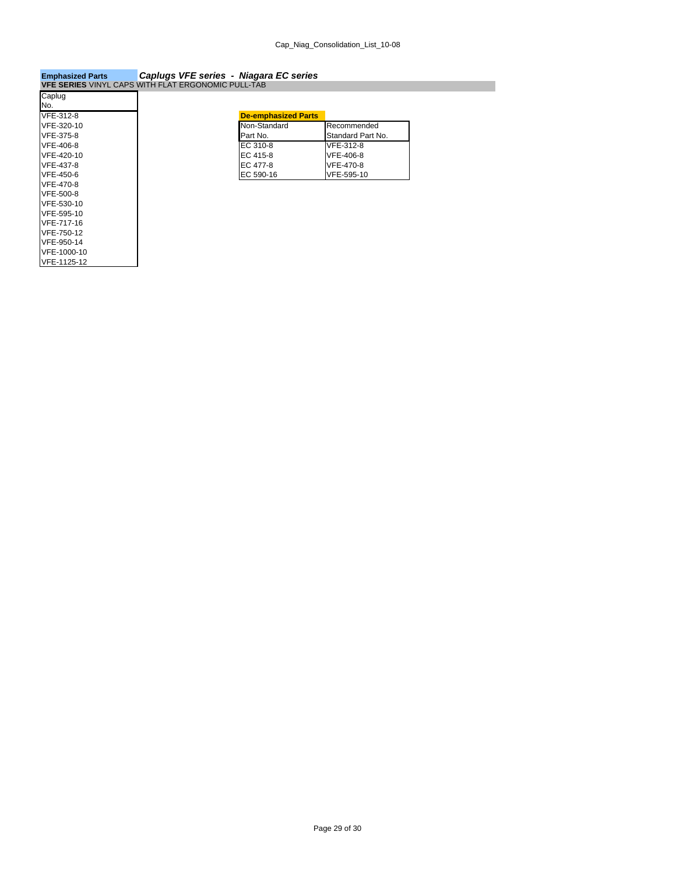### **Emphasized Parts** *Caplugs VFE series - Niagara EC series* **VFE SERIES** VINYL CAPS WITH FLAT ERGONOMIC PULL-TAB

| Caplug      |                            |
|-------------|----------------------------|
| No.         |                            |
| VFE-312-8   | <b>De-emphasized Parts</b> |
| VFE-320-10  | Non-Standard               |
| VFE-375-8   | Part No.                   |
| VFE-406-8   | EC 310-8                   |
| VFE-420-10  | EC 415-8                   |
| VFE-437-8   | EC 477-8                   |
| VFE-450-6   | EC 590-16                  |
| VFE-470-8   |                            |
| VFE-500-8   |                            |
| VFE-530-10  |                            |
| VFE-595-10  |                            |
| VFE-717-16  |                            |
| VFE-750-12  |                            |
| VFE-950-14  |                            |
| VFE-1000-10 |                            |
| VFE-1125-12 |                            |

| VFE-312-8  | <b>De-emphasized Parts</b> |                   |
|------------|----------------------------|-------------------|
| VFE-320-10 | Non-Standard               | Recommended       |
| VFE-375-8  | Part No.                   | Standard Part No. |
| VFE-406-8  | EC 310-8                   | VFE-312-8         |
| VFE-420-10 | <b>EC 415-8</b>            | VFE-406-8         |
| VFE-437-8  | EC 477-8                   | VFE-470-8         |
| VFE-450-6  | EC 590-16                  | VFE-595-10        |
|            |                            |                   |